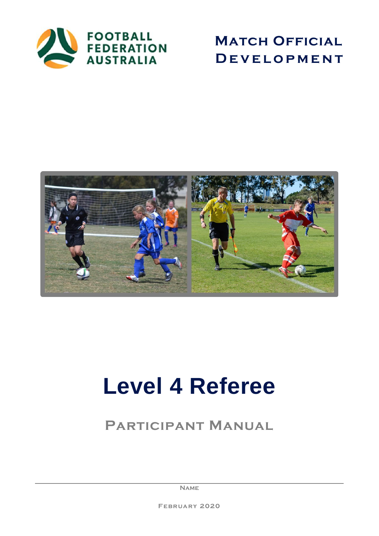

**MATCH OFFICIAL D e v e l o p m e n t**



# **Level 4 Referee**

# **Participant Manual**

**Name**

**February 2020**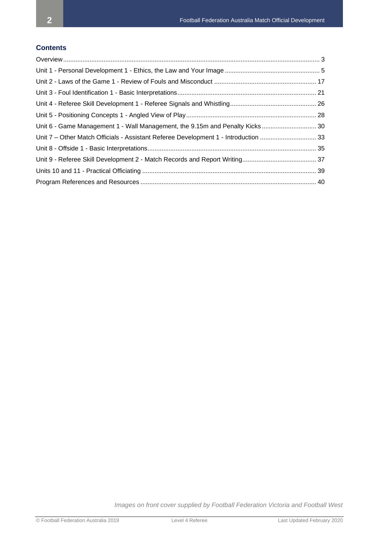## **Contents**

| Unit 6 - Game Management 1 - Wall Management, the 9.15m and Penalty Kicks 30        |  |
|-------------------------------------------------------------------------------------|--|
| Unit 7 - Other Match Officials - Assistant Referee Development 1 - Introduction  33 |  |
|                                                                                     |  |
|                                                                                     |  |
|                                                                                     |  |
|                                                                                     |  |

*Images on front cover supplied by Football Federation Victoria and Football West*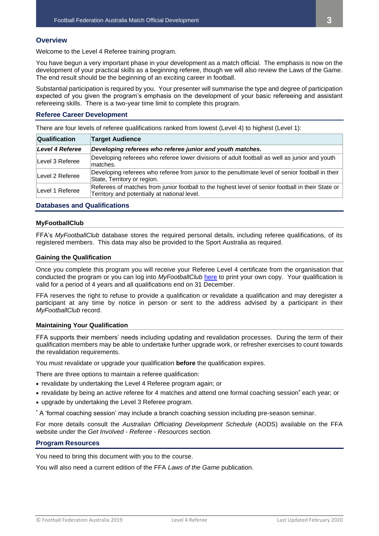## <span id="page-2-0"></span>**Overview**

Welcome to the Level 4 Referee training program.

You have begun a very important phase in your development as a match official. The emphasis is now on the development of your practical skills as a beginning referee, though we will also review the Laws of the Game. The end result should be the beginning of an exciting career in football.

Substantial participation is required by you. Your presenter will summarise the type and degree of participation expected of you given the program's emphasis on the development of your basic refereeing and assistant refereeing skills. There is a two-year time limit to complete this program.

#### **Referee Career Development**

There are four levels of referee qualifications ranked from lowest (Level 4) to highest (Level 1):

| <b>Qualification</b>                                                                                                                                                  | <b>Target Audience</b>                                                                                                          |  |
|-----------------------------------------------------------------------------------------------------------------------------------------------------------------------|---------------------------------------------------------------------------------------------------------------------------------|--|
| Level 4 Referee                                                                                                                                                       | Developing referees who referee junior and youth matches.                                                                       |  |
| Level 3 Referee                                                                                                                                                       | Developing referees who referee lower divisions of adult football as well as junior and youth<br>matches.                       |  |
| Level 2 Referee                                                                                                                                                       | Developing referees who referee from junior to the penultimate level of senior football in their<br>State, Territory or region. |  |
| Referees of matches from junior football to the highest level of senior football in their State or<br>Level 1 Referee<br>Territory and potentially at national level. |                                                                                                                                 |  |

## **Databases and Qualifications**

#### **MyFootballClub**

FFA's *MyFootballClub* database stores the required personal details, including referee qualifications, of its registered members. This data may also be provided to the Sport Australia as required.

## **Gaining the Qualification**

Once you complete this program you will receive your Referee Level 4 certificate from the organisation that conducted the program or you can log into *MyFootballClub* [here](https://education-ffa.sportingpulse.com/myclub/personcvlogin.aspx) to print your own copy. Your qualification is valid for a period of 4 years and all qualifications end on 31 December.

FFA reserves the right to refuse to provide a qualification or revalidate a qualification and may deregister a participant at any time by notice in person or sent to the address advised by a participant in their *MyFootballClub* record.

#### **Maintaining Your Qualification**

FFA supports their members' needs including updating and revalidation processes. During the term of their qualification members may be able to undertake further upgrade work, or refresher exercises to count towards the revalidation requirements.

You must revalidate or upgrade your qualification **before** the qualification expires.

There are three options to maintain a referee qualification:

- revalidate by undertaking the Level 4 Referee program again; or
- revalidate by being an active referee for 4 matches and attend one formal coaching session**\*** each year; or
- upgrade by undertaking the Level 3 Referee program.
- **\*** A 'formal coaching session' may include a branch coaching session including pre-season seminar.

For more details consult the *Australian Officiating Development Schedule* (AODS) available on the FFA website under the *Get Involved - Referee - Resources* section.

#### **Program Resources**

You need to bring this document with you to the course.

You will also need a current edition of the FFA *Laws of the Game* publication.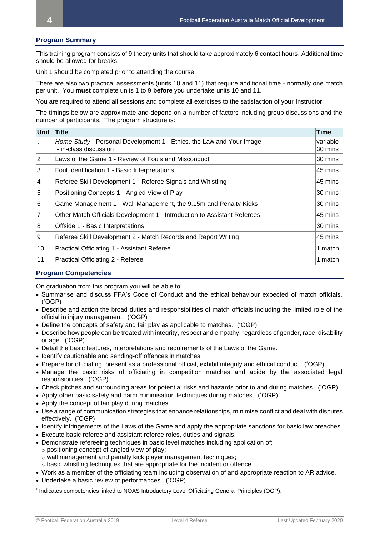## **Program Summary**

This training program consists of 9 theory units that should take approximately 6 contact hours. Additional time should be allowed for breaks.

Unit 1 should be completed prior to attending the course.

There are also two practical assessments (units 10 and 11) that require additional time - normally one match per unit. You **must** complete units 1 to 9 **before** you undertake units 10 and 11.

You are required to attend all sessions and complete all exercises to the satisfaction of your Instructor.

The timings below are approximate and depend on a number of factors including group discussions and the number of participants. The program structure is:

| Unit | Title                                                                                         | Time                |
|------|-----------------------------------------------------------------------------------------------|---------------------|
|      | Home Study - Personal Development 1 - Ethics, the Law and Your Image<br>- in-class discussion | variable<br>30 mins |
| 12   | Laws of the Game 1 - Review of Fouls and Misconduct                                           | 30 mins             |
| Ι3   | Foul Identification 1 - Basic Interpretations                                                 | 45 mins             |
| 14   | Referee Skill Development 1 - Referee Signals and Whistling                                   | 45 mins             |
| 15   | Positioning Concepts 1 - Angled View of Play                                                  | 30 mins             |
| 16   | Game Management 1 - Wall Management, the 9.15m and Penalty Kicks                              | 30 mins             |
| 17   | Other Match Officials Development 1 - Introduction to Assistant Referees                      | 45 mins             |
| 8    | Offside 1 - Basic Interpretations                                                             | 30 mins             |
| 19   | Referee Skill Development 2 - Match Records and Report Writing                                | 45 mins             |
| 10   | Practical Officiating 1 - Assistant Referee                                                   | 1 match             |
| 11   | Practical Officiating 2 - Referee                                                             | 1 match             |

## **Program Competencies**

On graduation from this program you will be able to:

- Summarise and discuss FFA's Code of Conduct and the ethical behaviour expected of match officials. ( \*OGP)
- Describe and action the broad duties and responsibilities of match officials including the limited role of the official in injury management. ( \*OGP)
- Define the concepts of safety and fair play as applicable to matches. (OGP)
- Describe how people can be treated with integrity, respect and empathy, regardless of gender, race, disability or age. (\*OGP)
- Detail the basic features, interpretations and requirements of the Laws of the Game.
- Identify cautionable and sending-off offences in matches.
- Prepare for officiating, present as a professional official, exhibit integrity and ethical conduct. (OGP)
- Manage the basic risks of officiating in competition matches and abide by the associated legal responsibilities. ('OGP)
- Check pitches and surrounding areas for potential risks and hazards prior to and during matches. ("OGP)
- Apply other basic safety and harm minimisation techniques during matches. (OGP)
- Apply the concept of fair play during matches.
- Use a range of communication strategies that enhance relationships, minimise conflict and deal with disputes effectively. ('OGP)
- Identify infringements of the Laws of the Game and apply the appropriate sanctions for basic law breaches.
- Execute basic referee and assistant referee roles, duties and signals.
- Demonstrate refereeing techniques in basic level matches including application of:
	- o positioning concept of angled view of play;
	- o wall management and penalty kick player management techniques;
	- $\circ$  basic whistling techniques that are appropriate for the incident or offence.
- Work as a member of the officiating team including observation of and appropriate reaction to AR advice.
- Undertake a basic review of performances. ( \*OGP)

\* Indicates competencies linked to NOAS Introductory Level Officiating General Principles (OGP).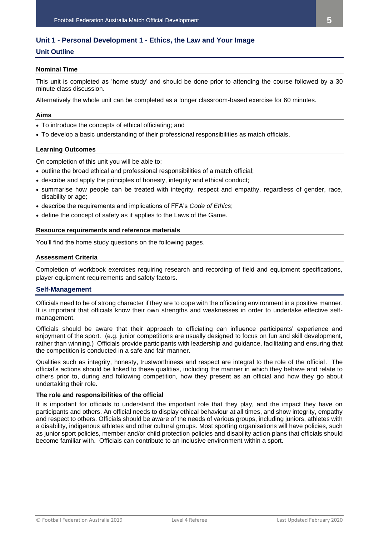## <span id="page-4-0"></span>**Unit 1 - Personal Development 1 - Ethics, the Law and Your Image**

## **Unit Outline**

## **Nominal Time**

This unit is completed as 'home study' and should be done prior to attending the course followed by a 30 minute class discussion.

Alternatively the whole unit can be completed as a longer classroom-based exercise for 60 minutes.

## **Aims**

- To introduce the concepts of ethical officiating; and
- To develop a basic understanding of their professional responsibilities as match officials.

## **Learning Outcomes**

On completion of this unit you will be able to:

- outline the broad ethical and professional responsibilities of a match official;
- describe and apply the principles of honesty, integrity and ethical conduct;
- summarise how people can be treated with integrity, respect and empathy, regardless of gender, race, disability or age;
- describe the requirements and implications of FFA's *Code of Ethics*;
- define the concept of safety as it applies to the Laws of the Game.

## **Resource requirements and reference materials**

You'll find the home study questions on the following pages.

## **Assessment Criteria**

Completion of workbook exercises requiring research and recording of field and equipment specifications, player equipment requirements and safety factors.

## **Self-Management**

Officials need to be of strong character if they are to cope with the officiating environment in a positive manner. It is important that officials know their own strengths and weaknesses in order to undertake effective selfmanagement.

Officials should be aware that their approach to officiating can influence participants' experience and enjoyment of the sport. (e.g. junior competitions are usually designed to focus on fun and skill development, rather than winning.) Officials provide participants with leadership and guidance, facilitating and ensuring that the competition is conducted in a safe and fair manner.

Qualities such as integrity, honesty, trustworthiness and respect are integral to the role of the official. The official's actions should be linked to these qualities, including the manner in which they behave and relate to others prior to, during and following competition, how they present as an official and how they go about undertaking their role.

## **The role and responsibilities of the official**

It is important for officials to understand the important role that they play, and the impact they have on participants and others. An official needs to display ethical behaviour at all times, and show integrity, empathy and respect to others. Officials should be aware of the needs of various groups, including juniors, athletes with a disability, indigenous athletes and other cultural groups. Most sporting organisations will have policies, such as junior sport policies, member and/or child protection policies and disability action plans that officials should become familiar with. Officials can contribute to an inclusive environment within a sport.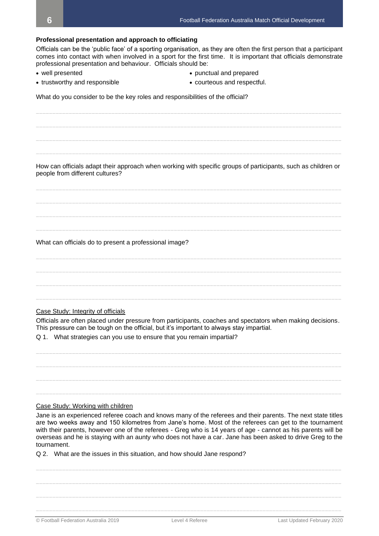**Professional presentation and approach to officiating** Officials can be the 'public face' of a sporting organisation, as they are often the first person that a participant comes into contact with when involved in a sport for the first time. It is important that officials demonstrate professional presentation and behaviour. Officials should be: • well presented • punctual and prepared • trustworthy and responsible • courteous and respectful. What do you consider to be the key roles and responsibilities of the official? **\_\_\_\_\_\_\_\_\_\_\_\_\_\_\_\_\_\_\_\_\_\_\_\_\_\_\_\_\_\_\_\_\_\_\_\_\_\_\_\_\_\_\_\_\_\_\_\_\_\_\_\_\_\_\_\_\_\_\_\_\_\_\_\_\_\_\_\_\_\_\_\_\_\_\_\_\_\_\_\_\_\_\_\_\_\_\_\_\_\_\_\_\_ \_\_\_\_\_\_\_\_\_\_\_\_\_\_\_\_\_\_\_\_\_\_\_\_\_\_\_\_\_\_\_\_\_\_\_\_\_\_\_\_\_\_\_\_\_\_\_\_\_\_\_\_\_\_\_\_\_\_\_\_\_\_\_\_\_\_\_\_\_\_\_\_\_\_\_\_\_\_\_\_\_\_\_\_\_\_\_\_\_\_\_\_\_ \_\_\_\_\_\_\_\_\_\_\_\_\_\_\_\_\_\_\_\_\_\_\_\_\_\_\_\_\_\_\_\_\_\_\_\_\_\_\_\_\_\_\_\_\_\_\_\_\_\_\_\_\_\_\_\_\_\_\_\_\_\_\_\_\_\_\_\_\_\_\_\_\_\_\_\_\_\_\_\_\_\_\_\_\_\_\_\_\_\_\_\_\_ \_\_\_\_\_\_\_\_\_\_\_\_\_\_\_\_\_\_\_\_\_\_\_\_\_\_\_\_\_\_\_\_\_\_\_\_\_\_\_\_\_\_\_\_\_\_\_\_\_\_\_\_\_\_\_\_\_\_\_\_\_\_\_\_\_\_\_\_\_\_\_\_\_\_\_\_\_\_\_\_\_\_\_\_\_\_\_\_\_\_\_\_\_** How can officials adapt their approach when working with specific groups of participants, such as children or people from different cultures? **\_\_\_\_\_\_\_\_\_\_\_\_\_\_\_\_\_\_\_\_\_\_\_\_\_\_\_\_\_\_\_\_\_\_\_\_\_\_\_\_\_\_\_\_\_\_\_\_\_\_\_\_\_\_\_\_\_\_\_\_\_\_\_\_\_\_\_\_\_\_\_\_\_\_\_\_\_\_\_\_\_\_\_\_\_\_\_\_\_\_\_\_\_ \_\_\_\_\_\_\_\_\_\_\_\_\_\_\_\_\_\_\_\_\_\_\_\_\_\_\_\_\_\_\_\_\_\_\_\_\_\_\_\_\_\_\_\_\_\_\_\_\_\_\_\_\_\_\_\_\_\_\_\_\_\_\_\_\_\_\_\_\_\_\_\_\_\_\_\_\_\_\_\_\_\_\_\_\_\_\_\_\_\_\_\_\_ \_\_\_\_\_\_\_\_\_\_\_\_\_\_\_\_\_\_\_\_\_\_\_\_\_\_\_\_\_\_\_\_\_\_\_\_\_\_\_\_\_\_\_\_\_\_\_\_\_\_\_\_\_\_\_\_\_\_\_\_\_\_\_\_\_\_\_\_\_\_\_\_\_\_\_\_\_\_\_\_\_\_\_\_\_\_\_\_\_\_\_\_\_ \_\_\_\_\_\_\_\_\_\_\_\_\_\_\_\_\_\_\_\_\_\_\_\_\_\_\_\_\_\_\_\_\_\_\_\_\_\_\_\_\_\_\_\_\_\_\_\_\_\_\_\_\_\_\_\_\_\_\_\_\_\_\_\_\_\_\_\_\_\_\_\_\_\_\_\_\_\_\_\_\_\_\_\_\_\_\_\_\_\_\_\_\_** What can officials do to present a professional image? **\_\_\_\_\_\_\_\_\_\_\_\_\_\_\_\_\_\_\_\_\_\_\_\_\_\_\_\_\_\_\_\_\_\_\_\_\_\_\_\_\_\_\_\_\_\_\_\_\_\_\_\_\_\_\_\_\_\_\_\_\_\_\_\_\_\_\_\_\_\_\_\_\_\_\_\_\_\_\_\_\_\_\_\_\_\_\_\_\_\_\_\_\_ \_\_\_\_\_\_\_\_\_\_\_\_\_\_\_\_\_\_\_\_\_\_\_\_\_\_\_\_\_\_\_\_\_\_\_\_\_\_\_\_\_\_\_\_\_\_\_\_\_\_\_\_\_\_\_\_\_\_\_\_\_\_\_\_\_\_\_\_\_\_\_\_\_\_\_\_\_\_\_\_\_\_\_\_\_\_\_\_\_\_\_\_\_ \_\_\_\_\_\_\_\_\_\_\_\_\_\_\_\_\_\_\_\_\_\_\_\_\_\_\_\_\_\_\_\_\_\_\_\_\_\_\_\_\_\_\_\_\_\_\_\_\_\_\_\_\_\_\_\_\_\_\_\_\_\_\_\_\_\_\_\_\_\_\_\_\_\_\_\_\_\_\_\_\_\_\_\_\_\_\_\_\_\_\_\_\_ \_\_\_\_\_\_\_\_\_\_\_\_\_\_\_\_\_\_\_\_\_\_\_\_\_\_\_\_\_\_\_\_\_\_\_\_\_\_\_\_\_\_\_\_\_\_\_\_\_\_\_\_\_\_\_\_\_\_\_\_\_\_\_\_\_\_\_\_\_\_\_\_\_\_\_\_\_\_\_\_\_\_\_\_\_\_\_\_\_\_\_\_\_** Case Study: Integrity of officials Officials are often placed under pressure from participants, coaches and spectators when making decisions. This pressure can be tough on the official, but it's important to always stay impartial. Q 1. What strategies can you use to ensure that you remain impartial? **\_\_\_\_\_\_\_\_\_\_\_\_\_\_\_\_\_\_\_\_\_\_\_\_\_\_\_\_\_\_\_\_\_\_\_\_\_\_\_\_\_\_\_\_\_\_\_\_\_\_\_\_\_\_\_\_\_\_\_\_\_\_\_\_\_\_\_\_\_\_\_\_\_\_\_\_\_\_\_\_\_\_\_\_\_\_\_\_\_\_\_\_\_ \_\_\_\_\_\_\_\_\_\_\_\_\_\_\_\_\_\_\_\_\_\_\_\_\_\_\_\_\_\_\_\_\_\_\_\_\_\_\_\_\_\_\_\_\_\_\_\_\_\_\_\_\_\_\_\_\_\_\_\_\_\_\_\_\_\_\_\_\_\_\_\_\_\_\_\_\_\_\_\_\_\_\_\_\_\_\_\_\_\_\_\_\_ \_\_\_\_\_\_\_\_\_\_\_\_\_\_\_\_\_\_\_\_\_\_\_\_\_\_\_\_\_\_\_\_\_\_\_\_\_\_\_\_\_\_\_\_\_\_\_\_\_\_\_\_\_\_\_\_\_\_\_\_\_\_\_\_\_\_\_\_\_\_\_\_\_\_\_\_\_\_\_\_\_\_\_\_\_\_\_\_\_\_\_\_\_ \_\_\_\_\_\_\_\_\_\_\_\_\_\_\_\_\_\_\_\_\_\_\_\_\_\_\_\_\_\_\_\_\_\_\_\_\_\_\_\_\_\_\_\_\_\_\_\_\_\_\_\_\_\_\_\_\_\_\_\_\_\_\_\_\_\_\_\_\_\_\_\_\_\_\_\_\_\_\_\_\_\_\_\_\_\_\_\_\_\_\_\_\_** Case Study: Working with children Jane is an experienced referee coach and knows many of the referees and their parents. The next state titles are two weeks away and 150 kilometres from Jane's home. Most of the referees can get to the tournament with their parents, however one of the referees - Greg who is 14 years of age - cannot as his parents will be overseas and he is staying with an aunty who does not have a car. Jane has been asked to drive Greg to the tournament. Q 2. What are the issues in this situation, and how should Jane respond? **\_\_\_\_\_\_\_\_\_\_\_\_\_\_\_\_\_\_\_\_\_\_\_\_\_\_\_\_\_\_\_\_\_\_\_\_\_\_\_\_\_\_\_\_\_\_\_\_\_\_\_\_\_\_\_\_\_\_\_\_\_\_\_\_\_\_\_\_\_\_\_\_\_\_\_\_\_\_\_\_\_\_\_\_\_\_\_\_\_\_\_\_\_ \_\_\_\_\_\_\_\_\_\_\_\_\_\_\_\_\_\_\_\_\_\_\_\_\_\_\_\_\_\_\_\_\_\_\_\_\_\_\_\_\_\_\_\_\_\_\_\_\_\_\_\_\_\_\_\_\_\_\_\_\_\_\_\_\_\_\_\_\_\_\_\_\_\_\_\_\_\_\_\_\_\_\_\_\_\_\_\_\_\_\_\_\_ \_\_\_\_\_\_\_\_\_\_\_\_\_\_\_\_\_\_\_\_\_\_\_\_\_\_\_\_\_\_\_\_\_\_\_\_\_\_\_\_\_\_\_\_\_\_\_\_\_\_\_\_\_\_\_\_\_\_\_\_\_\_\_\_\_\_\_\_\_\_\_\_\_\_\_\_\_\_\_\_\_\_\_\_\_\_\_\_\_\_\_\_\_**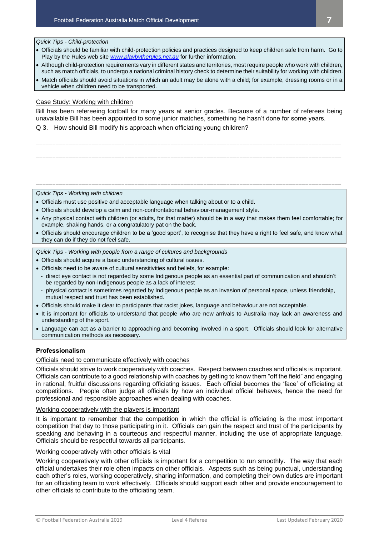*Quick Tips - Child-protection*

- Officials should be familiar with child-protection policies and practices designed to keep children safe from harm. Go to Play by the Rules web site *[www.playbytherules.net.au](file://///SOCCER-FIL01/Departments/FOP/CF/REF%20-%20Referees%20Department/ACC%20-%20Accreditation/Course%20Material/Referee%20-%20Level%204/www.playbytherules.net.au)* for further information.
- Although child-protection requirements vary in different states and territories, most require people who work with children, such as match officials, to undergo a national criminal history check to determine their suitability for working with children.
- Match officials should avoid situations in which an adult may be alone with a child; for example, dressing rooms or in a vehicle when children need to be transported.

## Case Study: Working with children

*Quick Tips - Working with children*

Bill has been refereeing football for many years at senior grades. Because of a number of referees being unavailable Bill has been appointed to some junior matches, something he hasn't done for some years.

**\_\_\_\_\_\_\_\_\_\_\_\_\_\_\_\_\_\_\_\_\_\_\_\_\_\_\_\_\_\_\_\_\_\_\_\_\_\_\_\_\_\_\_\_\_\_\_\_\_\_\_\_\_\_\_\_\_\_\_\_\_\_\_\_\_\_\_\_\_\_\_\_\_\_\_\_\_\_\_\_\_\_\_\_\_\_\_\_\_\_\_\_\_**

**\_\_\_\_\_\_\_\_\_\_\_\_\_\_\_\_\_\_\_\_\_\_\_\_\_\_\_\_\_\_\_\_\_\_\_\_\_\_\_\_\_\_\_\_\_\_\_\_\_\_\_\_\_\_\_\_\_\_\_\_\_\_\_\_\_\_\_\_\_\_\_\_\_\_\_\_\_\_\_\_\_\_\_\_\_\_\_\_\_\_\_\_\_**

**\_\_\_\_\_\_\_\_\_\_\_\_\_\_\_\_\_\_\_\_\_\_\_\_\_\_\_\_\_\_\_\_\_\_\_\_\_\_\_\_\_\_\_\_\_\_\_\_\_\_\_\_\_\_\_\_\_\_\_\_\_\_\_\_\_\_\_\_\_\_\_\_\_\_\_\_\_\_\_\_\_\_\_\_\_\_\_\_\_\_\_\_\_**

**\_\_\_\_\_\_\_\_\_\_\_\_\_\_\_\_\_\_\_\_\_\_\_\_\_\_\_\_\_\_\_\_\_\_\_\_\_\_\_\_\_\_\_\_\_\_\_\_\_\_\_\_\_\_\_\_\_\_\_\_\_\_\_\_\_\_\_\_\_\_\_\_\_\_\_\_\_\_\_\_\_\_\_\_\_\_\_\_\_\_\_\_\_**

Q 3. How should Bill modify his approach when officiating young children?

• Officials must use positive and acceptable language when talking about or to a child.

• Officials should develop a calm and non-confrontational behaviour-management style.

- Any physical contact with children (or adults, for that matter) should be in a way that makes them feel comfortable; for example, shaking hands, or a congratulatory pat on the back.
- Officials should encourage children to be a 'good sport', to recognise that they have a right to feel safe, and know what they can do if they do not feel safe.

*Quick Tips - Working with people from a range of cultures and backgrounds*

- Officials should acquire a basic understanding of cultural issues.
- Officials need to be aware of cultural sensitivities and beliefs, for example:
- direct eye contact is not regarded by some Indigenous people as an essential part of communication and shouldn't be regarded by non-Indigenous people as a lack of interest
- physical contact is sometimes regarded by Indigenous people as an invasion of personal space, unless friendship, mutual respect and trust has been established.
- Officials should make it clear to participants that racist jokes, language and behaviour are not acceptable.
- It is important for officials to understand that people who are new arrivals to Australia may lack an awareness and understanding of the sport.
- Language can act as a barrier to approaching and becoming involved in a sport. Officials should look for alternative communication methods as necessary.

## **Professionalism**

## Officials need to communicate effectively with coaches

Officials should strive to work cooperatively with coaches. Respect between coaches and officials is important. Officials can contribute to a good relationship with coaches by getting to know them "off the field" and engaging in rational, fruitful discussions regarding officiating issues. Each official becomes the 'face' of officiating at competitions. People often judge all officials by how an individual official behaves, hence the need for professional and responsible approaches when dealing with coaches.

## Working cooperatively with the players is important

It is important to remember that the competition in which the official is officiating is the most important competition that day to those participating in it. Officials can gain the respect and trust of the participants by speaking and behaving in a courteous and respectful manner, including the use of appropriate language. Officials should be respectful towards all participants.

## Working cooperatively with other officials is vital

Working cooperatively with other officials is important for a competition to run smoothly. The way that each official undertakes their role often impacts on other officials. Aspects such as being punctual, understanding each other's roles, working cooperatively, sharing information, and completing their own duties are important for an officiating team to work effectively. Officials should support each other and provide encouragement to other officials to contribute to the officiating team.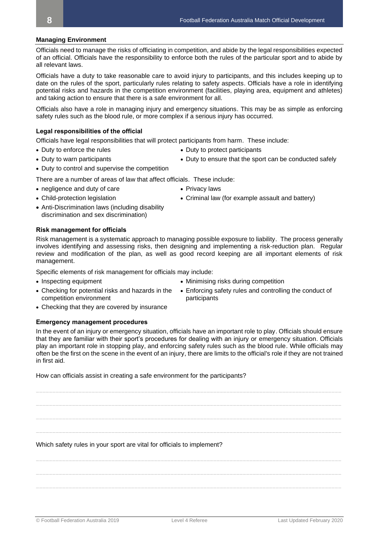#### **Managing Environment**

Officials need to manage the risks of officiating in competition, and abide by the legal responsibilities expected of an official. Officials have the responsibility to enforce both the rules of the particular sport and to abide by all relevant laws.

Officials have a duty to take reasonable care to avoid injury to participants, and this includes keeping up to date on the rules of the sport, particularly rules relating to safety aspects. Officials have a role in identifying potential risks and hazards in the competition environment (facilities, playing area, equipment and athletes) and taking action to ensure that there is a safe environment for all.

Officials also have a role in managing injury and emergency situations. This may be as simple as enforcing safety rules such as the blood rule, or more complex if a serious injury has occurred.

#### **Legal responsibilities of the official**

Officials have legal responsibilities that will protect participants from harm. These include:

- Duty to enforce the rules Duty to protect participants
	-
- Duty to warn participants Duty to ensure that the sport can be conducted safely
- 
- Duty to control and supervise the competition

There are a number of areas of law that affect officials. These include:

- negligence and duty of care Privacy laws
- 
- Child-protection legislation Criminal law (for example assault and battery)
- Anti-Discrimination laws (including disability discrimination and sex discrimination)

#### **Risk management for officials**

Risk management is a systematic approach to managing possible exposure to liability. The process generally involves identifying and assessing risks, then designing and implementing a risk-reduction plan. Regular review and modification of the plan, as well as good record keeping are all important elements of risk management.

Specific elements of risk management for officials may include:

• Inspecting equipment • Minimising risks during competition

competition environment

- Enforcing safety rules and controlling the conduct of participants
- Checking that they are covered by insurance

• Checking for potential risks and hazards in the

#### **Emergency management procedures**

In the event of an injury or emergency situation, officials have an important role to play. Officials should ensure that they are familiar with their sport's procedures for dealing with an injury or emergency situation. Officials play an important role in stopping play, and enforcing safety rules such as the blood rule. While officials may often be the first on the scene in the event of an injury, there are limits to the official's role if they are not trained in first aid.

**\_\_\_\_\_\_\_\_\_\_\_\_\_\_\_\_\_\_\_\_\_\_\_\_\_\_\_\_\_\_\_\_\_\_\_\_\_\_\_\_\_\_\_\_\_\_\_\_\_\_\_\_\_\_\_\_\_\_\_\_\_\_\_\_\_\_\_\_\_\_\_\_\_\_\_\_\_\_\_\_\_\_\_\_\_\_\_\_\_\_\_\_\_**

**\_\_\_\_\_\_\_\_\_\_\_\_\_\_\_\_\_\_\_\_\_\_\_\_\_\_\_\_\_\_\_\_\_\_\_\_\_\_\_\_\_\_\_\_\_\_\_\_\_\_\_\_\_\_\_\_\_\_\_\_\_\_\_\_\_\_\_\_\_\_\_\_\_\_\_\_\_\_\_\_\_\_\_\_\_\_\_\_\_\_\_\_\_**

**\_\_\_\_\_\_\_\_\_\_\_\_\_\_\_\_\_\_\_\_\_\_\_\_\_\_\_\_\_\_\_\_\_\_\_\_\_\_\_\_\_\_\_\_\_\_\_\_\_\_\_\_\_\_\_\_\_\_\_\_\_\_\_\_\_\_\_\_\_\_\_\_\_\_\_\_\_\_\_\_\_\_\_\_\_\_\_\_\_\_\_\_\_**

**\_\_\_\_\_\_\_\_\_\_\_\_\_\_\_\_\_\_\_\_\_\_\_\_\_\_\_\_\_\_\_\_\_\_\_\_\_\_\_\_\_\_\_\_\_\_\_\_\_\_\_\_\_\_\_\_\_\_\_\_\_\_\_\_\_\_\_\_\_\_\_\_\_\_\_\_\_\_\_\_\_\_\_\_\_\_\_\_\_\_\_\_\_**

**\_\_\_\_\_\_\_\_\_\_\_\_\_\_\_\_\_\_\_\_\_\_\_\_\_\_\_\_\_\_\_\_\_\_\_\_\_\_\_\_\_\_\_\_\_\_\_\_\_\_\_\_\_\_\_\_\_\_\_\_\_\_\_\_\_\_\_\_\_\_\_\_\_\_\_\_\_\_\_\_\_\_\_\_\_\_\_\_\_\_\_\_\_**

**\_\_\_\_\_\_\_\_\_\_\_\_\_\_\_\_\_\_\_\_\_\_\_\_\_\_\_\_\_\_\_\_\_\_\_\_\_\_\_\_\_\_\_\_\_\_\_\_\_\_\_\_\_\_\_\_\_\_\_\_\_\_\_\_\_\_\_\_\_\_\_\_\_\_\_\_\_\_\_\_\_\_\_\_\_\_\_\_\_\_\_\_\_**

**\_\_\_\_\_\_\_\_\_\_\_\_\_\_\_\_\_\_\_\_\_\_\_\_\_\_\_\_\_\_\_\_\_\_\_\_\_\_\_\_\_\_\_\_\_\_\_\_\_\_\_\_\_\_\_\_\_\_\_\_\_\_\_\_\_\_\_\_\_\_\_\_\_\_\_\_\_\_\_\_\_\_\_\_\_\_\_\_\_\_\_\_\_**

How can officials assist in creating a safe environment for the participants?

Which safety rules in your sport are vital for officials to implement?

- 
-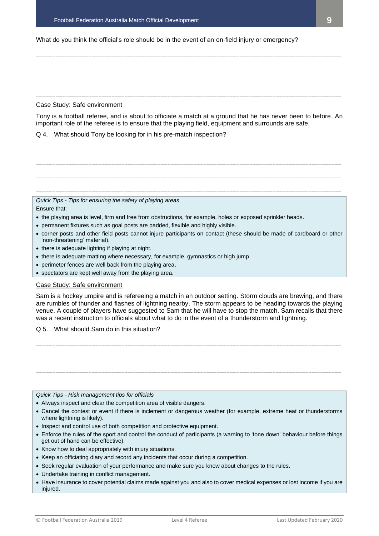What do you think the official's role should be in the event of an on-field injury or emergency?

**\_\_\_\_\_\_\_\_\_\_\_\_\_\_\_\_\_\_\_\_\_\_\_\_\_\_\_\_\_\_\_\_\_\_\_\_\_\_\_\_\_\_\_\_\_\_\_\_\_\_\_\_\_\_\_\_\_\_\_\_\_\_\_\_\_\_\_\_\_\_\_\_\_\_\_\_\_\_\_\_\_\_\_\_\_\_\_\_\_\_\_\_\_ \_\_\_\_\_\_\_\_\_\_\_\_\_\_\_\_\_\_\_\_\_\_\_\_\_\_\_\_\_\_\_\_\_\_\_\_\_\_\_\_\_\_\_\_\_\_\_\_\_\_\_\_\_\_\_\_\_\_\_\_\_\_\_\_\_\_\_\_\_\_\_\_\_\_\_\_\_\_\_\_\_\_\_\_\_\_\_\_\_\_\_\_\_ \_\_\_\_\_\_\_\_\_\_\_\_\_\_\_\_\_\_\_\_\_\_\_\_\_\_\_\_\_\_\_\_\_\_\_\_\_\_\_\_\_\_\_\_\_\_\_\_\_\_\_\_\_\_\_\_\_\_\_\_\_\_\_\_\_\_\_\_\_\_\_\_\_\_\_\_\_\_\_\_\_\_\_\_\_\_\_\_\_\_\_\_\_ \_\_\_\_\_\_\_\_\_\_\_\_\_\_\_\_\_\_\_\_\_\_\_\_\_\_\_\_\_\_\_\_\_\_\_\_\_\_\_\_\_\_\_\_\_\_\_\_\_\_\_\_\_\_\_\_\_\_\_\_\_\_\_\_\_\_\_\_\_\_\_\_\_\_\_\_\_\_\_\_\_\_\_\_\_\_\_\_\_\_\_\_\_**

## Case Study: Safe environment

Tony is a football referee, and is about to officiate a match at a ground that he has never been to before. An important role of the referee is to ensure that the playing field, equipment and surrounds are safe.

## Q 4. What should Tony be looking for in his pre-match inspection?

| Quick Tips - Tips for ensuring the safety of playing areas |
|------------------------------------------------------------|

#### Ensure that:

- the playing area is level, firm and free from obstructions, for example, holes or exposed sprinkler heads.
- permanent fixtures such as goal posts are padded, flexible and highly visible.
- corner posts and other field posts cannot injure participants on contact (these should be made of cardboard or other 'non-threatening' material).
- there is adequate lighting if playing at night.
- there is adequate matting where necessary, for example, gymnastics or high jump.
- perimeter fences are well back from the playing area.
- spectators are kept well away from the playing area.

## Case Study: Safe environment

Sam is a hockey umpire and is refereeing a match in an outdoor setting. Storm clouds are brewing, and there are rumbles of thunder and flashes of lightning nearby. The storm appears to be heading towards the playing venue. A couple of players have suggested to Sam that he will have to stop the match. Sam recalls that there was a recent instruction to officials about what to do in the event of a thunderstorm and lightning.

## Q 5. What should Sam do in this situation?

**\_\_\_\_\_\_\_\_\_\_\_\_\_\_\_\_\_\_\_\_\_\_\_\_\_\_\_\_\_\_\_\_\_\_\_\_\_\_\_\_\_\_\_\_\_\_\_\_\_\_\_\_\_\_\_\_\_\_\_\_\_\_\_\_\_\_\_\_\_\_\_\_\_\_\_\_\_\_\_\_\_\_\_\_\_\_\_\_\_\_\_\_\_ \_\_\_\_\_\_\_\_\_\_\_\_\_\_\_\_\_\_\_\_\_\_\_\_\_\_\_\_\_\_\_\_\_\_\_\_\_\_\_\_\_\_\_\_\_\_\_\_\_\_\_\_\_\_\_\_\_\_\_\_\_\_\_\_\_\_\_\_\_\_\_\_\_\_\_\_\_\_\_\_\_\_\_\_\_\_\_\_\_\_\_\_\_ \_\_\_\_\_\_\_\_\_\_\_\_\_\_\_\_\_\_\_\_\_\_\_\_\_\_\_\_\_\_\_\_\_\_\_\_\_\_\_\_\_\_\_\_\_\_\_\_\_\_\_\_\_\_\_\_\_\_\_\_\_\_\_\_\_\_\_\_\_\_\_\_\_\_\_\_\_\_\_\_\_\_\_\_\_\_\_\_\_\_\_\_\_ \_\_\_\_\_\_\_\_\_\_\_\_\_\_\_\_\_\_\_\_\_\_\_\_\_\_\_\_\_\_\_\_\_\_\_\_\_\_\_\_\_\_\_\_\_\_\_\_\_\_\_\_\_\_\_\_\_\_\_\_\_\_\_\_\_\_\_\_\_\_\_\_\_\_\_\_\_\_\_\_\_\_\_\_\_\_\_\_\_\_\_\_\_**

## *Quick Tips - Risk management tips for officials*

- Always inspect and clear the competition area of visible dangers.
- Cancel the contest or event if there is inclement or dangerous weather (for example, extreme heat or thunderstorms where lightning is likely).
- Inspect and control use of both competition and protective equipment.
- Enforce the rules of the sport and control the conduct of participants (a warning to 'tone down' behaviour before things get out of hand can be effective).
- Know how to deal appropriately with injury situations.
- Keep an officiating diary and record any incidents that occur during a competition.
- Seek regular evaluation of your performance and make sure you know about changes to the rules.
- Undertake training in conflict management.
- Have insurance to cover potential claims made against you and also to cover medical expenses or lost income if you are injured.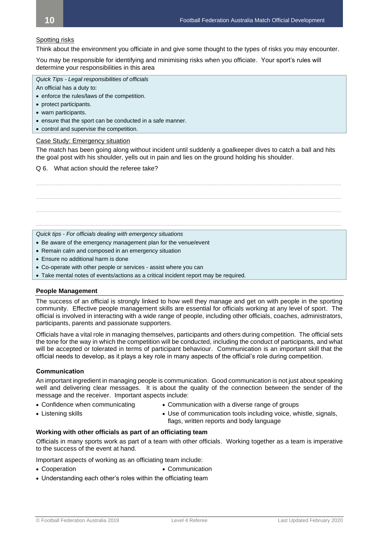## Spotting risks

Think about the environment you officiate in and give some thought to the types of risks you may encounter.

You may be responsible for identifying and minimising risks when you officiate. Your sport's rules will determine your responsibilities in this area

*Quick Tips - Legal responsibilities of officials*

- An official has a duty to:
- enforce the rules/laws of the competition.
- protect participants.
- warn participants.
- ensure that the sport can be conducted in a safe manner.
- control and supervise the competition.

## Case Study: Emergency situation

The match has been going along without incident until suddenly a goalkeeper dives to catch a ball and hits the goal post with his shoulder, yells out in pain and lies on the ground holding his shoulder.

**\_\_\_\_\_\_\_\_\_\_\_\_\_\_\_\_\_\_\_\_\_\_\_\_\_\_\_\_\_\_\_\_\_\_\_\_\_\_\_\_\_\_\_\_\_\_\_\_\_\_\_\_\_\_\_\_\_\_\_\_\_\_\_\_\_\_\_\_\_\_\_\_\_\_\_\_\_\_\_\_\_\_\_\_\_\_\_\_\_\_\_\_\_**

**\_\_\_\_\_\_\_\_\_\_\_\_\_\_\_\_\_\_\_\_\_\_\_\_\_\_\_\_\_\_\_\_\_\_\_\_\_\_\_\_\_\_\_\_\_\_\_\_\_\_\_\_\_\_\_\_\_\_\_\_\_\_\_\_\_\_\_\_\_\_\_\_\_\_\_\_\_\_\_\_\_\_\_\_\_\_\_\_\_\_\_\_\_**

**\_\_\_\_\_\_\_\_\_\_\_\_\_\_\_\_\_\_\_\_\_\_\_\_\_\_\_\_\_\_\_\_\_\_\_\_\_\_\_\_\_\_\_\_\_\_\_\_\_\_\_\_\_\_\_\_\_\_\_\_\_\_\_\_\_\_\_\_\_\_\_\_\_\_\_\_\_\_\_\_\_\_\_\_\_\_\_\_\_\_\_\_\_**

**\_\_\_\_\_\_\_\_\_\_\_\_\_\_\_\_\_\_\_\_\_\_\_\_\_\_\_\_\_\_\_\_\_\_\_\_\_\_\_\_\_\_\_\_\_\_\_\_\_\_\_\_\_\_\_\_\_\_\_\_\_\_\_\_\_\_\_\_\_\_\_\_\_\_\_\_\_\_\_\_\_\_\_\_\_\_\_\_\_\_\_\_\_**

#### Q 6. What action should the referee take?

*Quick tips - For officials dealing with emergency situations*

- Be aware of the emergency management plan for the venue/event
- Remain calm and composed in an emergency situation
- Ensure no additional harm is done
- Co-operate with other people or services assist where you can
- Take mental notes of events/actions as a critical incident report may be required.

## **People Management**

The success of an official is strongly linked to how well they manage and get on with people in the sporting community. Effective people management skills are essential for officials working at any level of sport. The official is involved in interacting with a wide range of people, including other officials, coaches, administrators, participants, parents and passionate supporters.

Officials have a vital role in managing themselves, participants and others during competition. The official sets the tone for the way in which the competition will be conducted, including the conduct of participants, and what will be accepted or tolerated in terms of participant behaviour. Communication is an important skill that the official needs to develop, as it plays a key role in many aspects of the official's role during competition.

## **Communication**

An important ingredient in managing people is communication. Good communication is not just about speaking well and delivering clear messages. It is about the quality of the connection between the sender of the message and the receiver. Important aspects include:

- 
- Confidence when communicating Communication with a diverse range of groups
- 
- Listening skills  **Use of communication tools including voice**, whistle, signals,
- 

flags, written reports and body language

## **Working with other officials as part of an officiating team**

Officials in many sports work as part of a team with other officials. Working together as a team is imperative to the success of the event at hand.

Important aspects of working as an officiating team include:

- Cooperation Communication
- Understanding each other's roles within the officiating team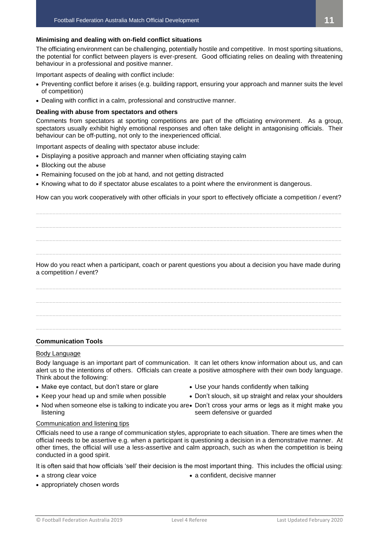## **Minimising and dealing with on-field conflict situations**

The officiating environment can be challenging, potentially hostile and competitive. In most sporting situations, the potential for conflict between players is ever-present. Good officiating relies on dealing with threatening behaviour in a professional and positive manner.

Important aspects of dealing with conflict include:

- Preventing conflict before it arises (e.g. building rapport, ensuring your approach and manner suits the level of competition)
- Dealing with conflict in a calm, professional and constructive manner.

## **Dealing with abuse from spectators and others**

Comments from spectators at sporting competitions are part of the officiating environment. As a group, spectators usually exhibit highly emotional responses and often take delight in antagonising officials. Their behaviour can be off-putting, not only to the inexperienced official.

Important aspects of dealing with spectator abuse include:

- Displaying a positive approach and manner when officiating staying calm
- Blocking out the abuse
- Remaining focused on the job at hand, and not getting distracted
- Knowing what to do if spectator abuse escalates to a point where the environment is dangerous.

How can you work cooperatively with other officials in your sport to effectively officiate a competition / event?

**\_\_\_\_\_\_\_\_\_\_\_\_\_\_\_\_\_\_\_\_\_\_\_\_\_\_\_\_\_\_\_\_\_\_\_\_\_\_\_\_\_\_\_\_\_\_\_\_\_\_\_\_\_\_\_\_\_\_\_\_\_\_\_\_\_\_\_\_\_\_\_\_\_\_\_\_\_\_\_\_\_\_\_\_\_\_\_\_\_\_\_\_\_**

**\_\_\_\_\_\_\_\_\_\_\_\_\_\_\_\_\_\_\_\_\_\_\_\_\_\_\_\_\_\_\_\_\_\_\_\_\_\_\_\_\_\_\_\_\_\_\_\_\_\_\_\_\_\_\_\_\_\_\_\_\_\_\_\_\_\_\_\_\_\_\_\_\_\_\_\_\_\_\_\_\_\_\_\_\_\_\_\_\_\_\_\_\_ \_\_\_\_\_\_\_\_\_\_\_\_\_\_\_\_\_\_\_\_\_\_\_\_\_\_\_\_\_\_\_\_\_\_\_\_\_\_\_\_\_\_\_\_\_\_\_\_\_\_\_\_\_\_\_\_\_\_\_\_\_\_\_\_\_\_\_\_\_\_\_\_\_\_\_\_\_\_\_\_\_\_\_\_\_\_\_\_\_\_\_\_\_ \_\_\_\_\_\_\_\_\_\_\_\_\_\_\_\_\_\_\_\_\_\_\_\_\_\_\_\_\_\_\_\_\_\_\_\_\_\_\_\_\_\_\_\_\_\_\_\_\_\_\_\_\_\_\_\_\_\_\_\_\_\_\_\_\_\_\_\_\_\_\_\_\_\_\_\_\_\_\_\_\_\_\_\_\_\_\_\_\_\_\_\_\_**

How do you react when a participant, coach or parent questions you about a decision you have made during a competition / event?

**\_\_\_\_\_\_\_\_\_\_\_\_\_\_\_\_\_\_\_\_\_\_\_\_\_\_\_\_\_\_\_\_\_\_\_\_\_\_\_\_\_\_\_\_\_\_\_\_\_\_\_\_\_\_\_\_\_\_\_\_\_\_\_\_\_\_\_\_\_\_\_\_\_\_\_\_\_\_\_\_\_\_\_\_\_\_\_\_\_\_\_\_\_ \_\_\_\_\_\_\_\_\_\_\_\_\_\_\_\_\_\_\_\_\_\_\_\_\_\_\_\_\_\_\_\_\_\_\_\_\_\_\_\_\_\_\_\_\_\_\_\_\_\_\_\_\_\_\_\_\_\_\_\_\_\_\_\_\_\_\_\_\_\_\_\_\_\_\_\_\_\_\_\_\_\_\_\_\_\_\_\_\_\_\_\_\_ \_\_\_\_\_\_\_\_\_\_\_\_\_\_\_\_\_\_\_\_\_\_\_\_\_\_\_\_\_\_\_\_\_\_\_\_\_\_\_\_\_\_\_\_\_\_\_\_\_\_\_\_\_\_\_\_\_\_\_\_\_\_\_\_\_\_\_\_\_\_\_\_\_\_\_\_\_\_\_\_\_\_\_\_\_\_\_\_\_\_\_\_\_ \_\_\_\_\_\_\_\_\_\_\_\_\_\_\_\_\_\_\_\_\_\_\_\_\_\_\_\_\_\_\_\_\_\_\_\_\_\_\_\_\_\_\_\_\_\_\_\_\_\_\_\_\_\_\_\_\_\_\_\_\_\_\_\_\_\_\_\_\_\_\_\_\_\_\_\_\_\_\_\_\_\_\_\_\_\_\_\_\_\_\_\_\_**

## **Communication Tools**

## Body Language

Body language is an important part of communication. It can let others know information about us, and can alert us to the intentions of others. Officials can create a positive atmosphere with their own body language. Think about the following:

- 
- Make eye contact, but don't stare or glare • Use your hands confidently when talking
- 
- Nod when someone else is talking to indicate you are Don't cross your arms or legs as it might make you listening
- Keep your head up and smile when possible Don't slouch, sit up straight and relax your shoulders
	- seem defensive or guarded

## Communication and listening tips

Officials need to use a range of communication styles, appropriate to each situation. There are times when the official needs to be assertive e.g. when a participant is questioning a decision in a demonstrative manner. At other times, the official will use a less-assertive and calm approach, such as when the competition is being conducted in a good spirit.

It is often said that how officials 'sell' their decision is the most important thing. This includes the official using:

- 
- a strong clear voice  **a confident, decisive manner**
- © Football Federation Australia 2019 Level 4 Referee Last Updated February 2020

• appropriately chosen words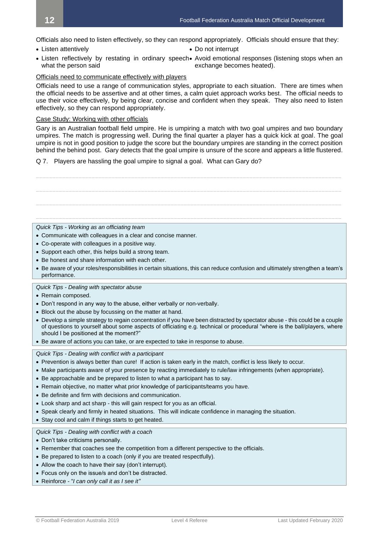Officials also need to listen effectively, so they can respond appropriately. Officials should ensure that they:

- Listen attentively  **Do not interrupt**
- 
- Listen reflectively by restating in ordinary speech• Avoid emotional responses (listening stops when an what the person said exchange becomes heated).

## Officials need to communicate effectively with players

Officials need to use a range of communication styles, appropriate to each situation. There are times when the official needs to be assertive and at other times, a calm quiet approach works best. The official needs to use their voice effectively, by being clear, concise and confident when they speak. They also need to listen effectively, so they can respond appropriately.

## Case Study: Working with other officials

Gary is an Australian football field umpire. He is umpiring a match with two goal umpires and two boundary umpires. The match is progressing well. During the final quarter a player has a quick kick at goal. The goal umpire is not in good position to judge the score but the boundary umpires are standing in the correct position behind the behind post. Gary detects that the goal umpire is unsure of the score and appears a little flustered.

Q 7. Players are hassling the goal umpire to signal a goal. What can Gary do?

**\_\_\_\_\_\_\_\_\_\_\_\_\_\_\_\_\_\_\_\_\_\_\_\_\_\_\_\_\_\_\_\_\_\_\_\_\_\_\_\_\_\_\_\_\_\_\_\_\_\_\_\_\_\_\_\_\_\_\_\_\_\_\_\_\_\_\_\_\_\_\_\_\_\_\_\_\_\_\_\_\_\_\_\_\_\_\_\_\_\_\_\_\_ \_\_\_\_\_\_\_\_\_\_\_\_\_\_\_\_\_\_\_\_\_\_\_\_\_\_\_\_\_\_\_\_\_\_\_\_\_\_\_\_\_\_\_\_\_\_\_\_\_\_\_\_\_\_\_\_\_\_\_\_\_\_\_\_\_\_\_\_\_\_\_\_\_\_\_\_\_\_\_\_\_\_\_\_\_\_\_\_\_\_\_\_\_ \_\_\_\_\_\_\_\_\_\_\_\_\_\_\_\_\_\_\_\_\_\_\_\_\_\_\_\_\_\_\_\_\_\_\_\_\_\_\_\_\_\_\_\_\_\_\_\_\_\_\_\_\_\_\_\_\_\_\_\_\_\_\_\_\_\_\_\_\_\_\_\_\_\_\_\_\_\_\_\_\_\_\_\_\_\_\_\_\_\_\_\_\_**

**\_\_\_\_\_\_\_\_\_\_\_\_\_\_\_\_\_\_\_\_\_\_\_\_\_\_\_\_\_\_\_\_\_\_\_\_\_\_\_\_\_\_\_\_\_\_\_\_\_\_\_\_\_\_\_\_\_\_\_\_\_\_\_\_\_\_\_\_\_\_\_\_\_\_\_\_\_\_\_\_\_\_\_\_\_\_\_\_\_\_\_\_\_**

*Quick Tips - Working as an officiating team*

- Communicate with colleagues in a clear and concise manner.
- Co-operate with colleagues in a positive way.
- Support each other, this helps build a strong team.
- Be honest and share information with each other.
- Be aware of your roles/responsibilities in certain situations, this can reduce confusion and ultimately strengthen a team's performance.

#### *Quick Tips - Dealing with spectator abuse*

- Remain composed.
- Don't respond in any way to the abuse, either verbally or non-verbally.
- Block out the abuse by focussing on the matter at hand.
- Develop a simple strategy to regain concentration if you have been distracted by spectator abuse this could be a couple of questions to yourself about some aspects of officiating e.g. technical or procedural "where is the ball/players, where should I be positioned at the moment?"
- Be aware of actions you can take, or are expected to take in response to abuse.

*Quick Tips - Dealing with conflict with a participant*

- Prevention is always better than cure! If action is taken early in the match, conflict is less likely to occur.
- Make participants aware of your presence by reacting immediately to rule/law infringements (when appropriate).
- Be approachable and be prepared to listen to what a participant has to say.
- Remain objective, no matter what prior knowledge of participants/teams you have.
- Be definite and firm with decisions and communication.
- Look sharp and act sharp this will gain respect for you as an official.
- Speak clearly and firmly in heated situations. This will indicate confidence in managing the situation.
- Stay cool and calm if things starts to get heated.

*Quick Tips - Dealing with conflict with a coach*

- Don't take criticisms personally.
- Remember that coaches see the competition from a different perspective to the officials.
- Be prepared to listen to a coach (only if you are treated respectfully).
- Allow the coach to have their say (don't interrupt).
- Focus only on the issue/s and don't be distracted.
- Reinforce "*I can only call it as I see it"*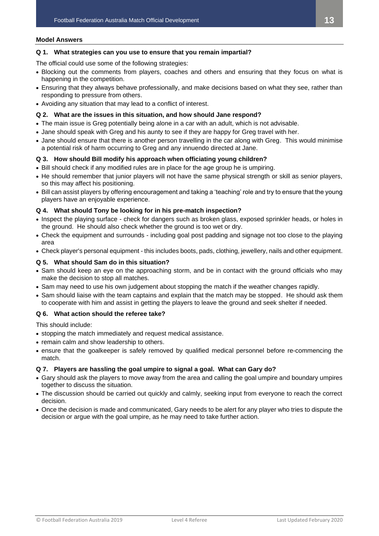#### **Model Answers**

## **Q 1. What strategies can you use to ensure that you remain impartial?**

The official could use some of the following strategies:

- Blocking out the comments from players, coaches and others and ensuring that they focus on what is happening in the competition.
- Ensuring that they always behave professionally, and make decisions based on what they see, rather than responding to pressure from others.
- Avoiding any situation that may lead to a conflict of interest.

## **Q 2. What are the issues in this situation, and how should Jane respond?**

- The main issue is Greg potentially being alone in a car with an adult, which is not advisable.
- Jane should speak with Greg and his aunty to see if they are happy for Greg travel with her.
- Jane should ensure that there is another person travelling in the car along with Greg. This would minimise a potential risk of harm occurring to Greg and any innuendo directed at Jane.

## **Q 3. How should Bill modify his approach when officiating young children?**

- Bill should check if any modified rules are in place for the age group he is umpiring.
- He should remember that junior players will not have the same physical strength or skill as senior players, so this may affect his positioning.
- Bill can assist players by offering encouragement and taking a 'teaching' role and try to ensure that the young players have an enjoyable experience.

## **Q 4. What should Tony be looking for in his pre-match inspection?**

- Inspect the playing surface check for dangers such as broken glass, exposed sprinkler heads, or holes in the ground. He should also check whether the ground is too wet or dry.
- Check the equipment and surrounds including goal post padding and signage not too close to the playing area
- Check player's personal equipment this includes boots, pads, clothing, jewellery, nails and other equipment.

## **Q 5. What should Sam do in this situation?**

- Sam should keep an eye on the approaching storm, and be in contact with the ground officials who may make the decision to stop all matches.
- Sam may need to use his own judgement about stopping the match if the weather changes rapidly.
- Sam should liaise with the team captains and explain that the match may be stopped. He should ask them to cooperate with him and assist in getting the players to leave the ground and seek shelter if needed.

## **Q 6. What action should the referee take?**

This should include:

- stopping the match immediately and request medical assistance.
- remain calm and show leadership to others.
- ensure that the goalkeeper is safely removed by qualified medical personnel before re-commencing the match.

## **Q 7. Players are hassling the goal umpire to signal a goal. What can Gary do?**

- Gary should ask the players to move away from the area and calling the goal umpire and boundary umpires together to discuss the situation.
- The discussion should be carried out quickly and calmly, seeking input from everyone to reach the correct decision.
- Once the decision is made and communicated, Gary needs to be alert for any player who tries to dispute the decision or argue with the goal umpire, as he may need to take further action.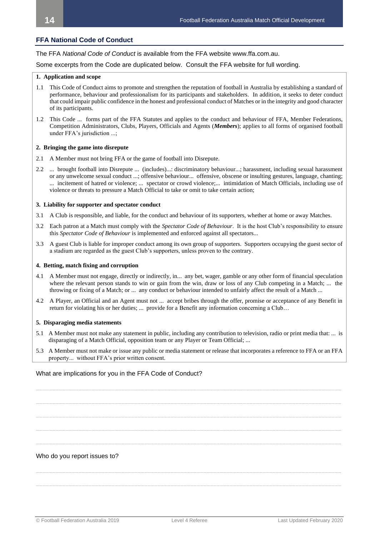## **FFA National Code of Conduct**

The FFA *National Code of Conduct* is available from the FFA website www.ffa.com.au.

Some excerpts from the Code are duplicated below. Consult the FFA website for full wording.

#### **1. Application and scope**

- 1.1 This Code of Conduct aims to promote and strengthen the reputation of football in Australia by establishing a standard of performance, behaviour and professionalism for its participants and stakeholders. In addition, it seeks to deter conduct that could impair public confidence in the honest and professional conduct of Matches or in the integrity and good character of its participants.
- 1.2 This Code ... forms part of the FFA Statutes and applies to the conduct and behaviour of FFA, Member Federations, Competition Administrators, Clubs, Players, Officials and Agents (*Members*); applies to all forms of organised football under FFA's jurisdiction ...;

#### **2. Bringing the game into disrepute**

- 2.1 A Member must not bring FFA or the game of football into Disrepute.
- 2.2 ... brought football into Disrepute ... (includes)...: discriminatory behaviour...; harassment, including sexual harassment or any unwelcome sexual conduct ...; offensive behaviour... offensive, obscene or insulting gestures, language, chanting; ... incitement of hatred or violence; ... spectator or crowd violence;... intimidation of Match Officials, including use of violence or threats to pressure a Match Official to take or omit to take certain action;

#### **3. Liability for supporter and spectator conduct**

- 3.1 A Club is responsible, and liable, for the conduct and behaviour of its supporters, whether at home or away Matches.
- 3.2 Each patron at a Match must comply with the *Spectator Code of Behaviour*. It is the host Club's responsibility to ensure this *Spectator Code of Behaviour* is implemented and enforced against all spectators...
- 3.3 A guest Club is liable for improper conduct among its own group of supporters. Supporters occupying the guest sector of a stadium are regarded as the guest Club's supporters, unless proven to the contrary.

#### **4. Betting, match fixing and corruption**

- 4.1 A Member must not engage, directly or indirectly, in... any bet, wager, gamble or any other form of financial speculation where the relevant person stands to win or gain from the win, draw or loss of any Club competing in a Match; ... the throwing or fixing of a Match; or ... any conduct or behaviour intended to unfairly affect the result of a Match ...
- 4.2 A Player, an Official and an Agent must not ... accept bribes through the offer, promise or acceptance of any Benefit in return for violating his or her duties; ... provide for a Benefit any information concerning a Club…

#### **5. Disparaging media statements**

- 5.1 A Member must not make any statement in public, including any contribution to television, radio or print media that: ... is disparaging of a Match Official, opposition team or any Player or Team Official; ...
- 5.3 A Member must not make or issue any public or media statement or release that incorporates a reference to FFA or an FFA property... without FFA's prior written consent.

**\_\_\_\_\_\_\_\_\_\_\_\_\_\_\_\_\_\_\_\_\_\_\_\_\_\_\_\_\_\_\_\_\_\_\_\_\_\_\_\_\_\_\_\_\_\_\_\_\_\_\_\_\_\_\_\_\_\_\_\_\_\_\_\_\_\_\_\_\_\_\_\_\_\_\_\_\_\_\_\_\_\_\_\_\_\_\_\_\_\_\_\_\_**

**\_\_\_\_\_\_\_\_\_\_\_\_\_\_\_\_\_\_\_\_\_\_\_\_\_\_\_\_\_\_\_\_\_\_\_\_\_\_\_\_\_\_\_\_\_\_\_\_\_\_\_\_\_\_\_\_\_\_\_\_\_\_\_\_\_\_\_\_\_\_\_\_\_\_\_\_\_\_\_\_\_\_\_\_\_\_\_\_\_\_\_\_\_**

**\_\_\_\_\_\_\_\_\_\_\_\_\_\_\_\_\_\_\_\_\_\_\_\_\_\_\_\_\_\_\_\_\_\_\_\_\_\_\_\_\_\_\_\_\_\_\_\_\_\_\_\_\_\_\_\_\_\_\_\_\_\_\_\_\_\_\_\_\_\_\_\_\_\_\_\_\_\_\_\_\_\_\_\_\_\_\_\_\_\_\_\_\_**

**\_\_\_\_\_\_\_\_\_\_\_\_\_\_\_\_\_\_\_\_\_\_\_\_\_\_\_\_\_\_\_\_\_\_\_\_\_\_\_\_\_\_\_\_\_\_\_\_\_\_\_\_\_\_\_\_\_\_\_\_\_\_\_\_\_\_\_\_\_\_\_\_\_\_\_\_\_\_\_\_\_\_\_\_\_\_\_\_\_\_\_\_\_**

**\_\_\_\_\_\_\_\_\_\_\_\_\_\_\_\_\_\_\_\_\_\_\_\_\_\_\_\_\_\_\_\_\_\_\_\_\_\_\_\_\_\_\_\_\_\_\_\_\_\_\_\_\_\_\_\_\_\_\_\_\_\_\_\_\_\_\_\_\_\_\_\_\_\_\_\_\_\_\_\_\_\_\_\_\_\_\_\_\_\_\_\_\_**

**\_\_\_\_\_\_\_\_\_\_\_\_\_\_\_\_\_\_\_\_\_\_\_\_\_\_\_\_\_\_\_\_\_\_\_\_\_\_\_\_\_\_\_\_\_\_\_\_\_\_\_\_\_\_\_\_\_\_\_\_\_\_\_\_\_\_\_\_\_\_\_\_\_\_\_\_\_\_\_\_\_\_\_\_\_\_\_\_\_\_\_\_\_**

**\_\_\_\_\_\_\_\_\_\_\_\_\_\_\_\_\_\_\_\_\_\_\_\_\_\_\_\_\_\_\_\_\_\_\_\_\_\_\_\_\_\_\_\_\_\_\_\_\_\_\_\_\_\_\_\_\_\_\_\_\_\_\_\_\_\_\_\_\_\_\_\_\_\_\_\_\_\_\_\_\_\_\_\_\_\_\_\_\_\_\_\_\_**

#### What are implications for you in the FFA Code of Conduct?

Who do you report issues to?

```
© Football Federation Australia 2019 Level 4 Referee Last Updated February 2020
```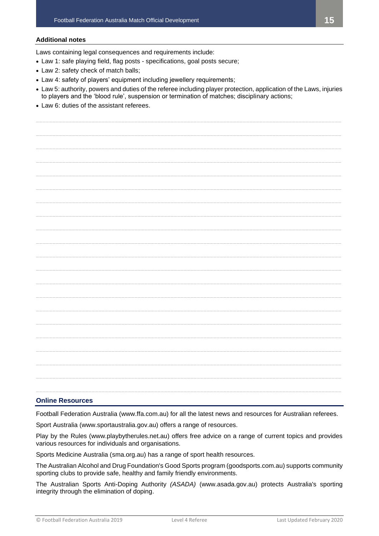## **Additional notes**

Laws containing legal consequences and requirements include:

- Law 1: safe playing field, flag posts specifications, goal posts secure;
- Law 2: safety check of match balls;
- Law 4: safety of players' equipment including jewellery requirements;
- Law 5: authority, powers and duties of the referee including player protection, application of the Laws, injuries to players and the 'blood rule', suspension or termination of matches; disciplinary actions;

**\_\_\_\_\_\_\_\_\_\_\_\_\_\_\_\_\_\_\_\_\_\_\_\_\_\_\_\_\_\_\_\_\_\_\_\_\_\_\_\_\_\_\_\_\_\_\_\_\_\_\_\_\_\_\_\_\_\_\_\_\_\_\_\_\_\_\_\_\_\_\_\_\_\_\_\_\_\_\_\_\_\_\_\_\_\_\_\_\_\_\_\_\_**

• Law 6: duties of the assistant referees.

**\_\_\_\_\_\_\_\_\_\_\_\_\_\_\_\_\_\_\_\_\_\_\_\_\_\_\_\_\_\_\_\_\_\_\_\_\_\_\_\_\_\_\_\_\_\_\_\_\_\_\_\_\_\_\_\_\_\_\_\_\_\_\_\_\_\_\_\_\_\_\_\_\_\_\_\_\_\_\_\_\_\_\_\_\_\_\_\_\_\_\_\_\_ \_\_\_\_\_\_\_\_\_\_\_\_\_\_\_\_\_\_\_\_\_\_\_\_\_\_\_\_\_\_\_\_\_\_\_\_\_\_\_\_\_\_\_\_\_\_\_\_\_\_\_\_\_\_\_\_\_\_\_\_\_\_\_\_\_\_\_\_\_\_\_\_\_\_\_\_\_\_\_\_\_\_\_\_\_\_\_\_\_\_\_\_\_ \_\_\_\_\_\_\_\_\_\_\_\_\_\_\_\_\_\_\_\_\_\_\_\_\_\_\_\_\_\_\_\_\_\_\_\_\_\_\_\_\_\_\_\_\_\_\_\_\_\_\_\_\_\_\_\_\_\_\_\_\_\_\_\_\_\_\_\_\_\_\_\_\_\_\_\_\_\_\_\_\_\_\_\_\_\_\_\_\_\_\_\_\_ \_\_\_\_\_\_\_\_\_\_\_\_\_\_\_\_\_\_\_\_\_\_\_\_\_\_\_\_\_\_\_\_\_\_\_\_\_\_\_\_\_\_\_\_\_\_\_\_\_\_\_\_\_\_\_\_\_\_\_\_\_\_\_\_\_\_\_\_\_\_\_\_\_\_\_\_\_\_\_\_\_\_\_\_\_\_\_\_\_\_\_\_\_ \_\_\_\_\_\_\_\_\_\_\_\_\_\_\_\_\_\_\_\_\_\_\_\_\_\_\_\_\_\_\_\_\_\_\_\_\_\_\_\_\_\_\_\_\_\_\_\_\_\_\_\_\_\_\_\_\_\_\_\_\_\_\_\_\_\_\_\_\_\_\_\_\_\_\_\_\_\_\_\_\_\_\_\_\_\_\_\_\_\_\_\_\_ \_\_\_\_\_\_\_\_\_\_\_\_\_\_\_\_\_\_\_\_\_\_\_\_\_\_\_\_\_\_\_\_\_\_\_\_\_\_\_\_\_\_\_\_\_\_\_\_\_\_\_\_\_\_\_\_\_\_\_\_\_\_\_\_\_\_\_\_\_\_\_\_\_\_\_\_\_\_\_\_\_\_\_\_\_\_\_\_\_\_\_\_\_ \_\_\_\_\_\_\_\_\_\_\_\_\_\_\_\_\_\_\_\_\_\_\_\_\_\_\_\_\_\_\_\_\_\_\_\_\_\_\_\_\_\_\_\_\_\_\_\_\_\_\_\_\_\_\_\_\_\_\_\_\_\_\_\_\_\_\_\_\_\_\_\_\_\_\_\_\_\_\_\_\_\_\_\_\_\_\_\_\_\_\_\_\_ \_\_\_\_\_\_\_\_\_\_\_\_\_\_\_\_\_\_\_\_\_\_\_\_\_\_\_\_\_\_\_\_\_\_\_\_\_\_\_\_\_\_\_\_\_\_\_\_\_\_\_\_\_\_\_\_\_\_\_\_\_\_\_\_\_\_\_\_\_\_\_\_\_\_\_\_\_\_\_\_\_\_\_\_\_\_\_\_\_\_\_\_\_ \_\_\_\_\_\_\_\_\_\_\_\_\_\_\_\_\_\_\_\_\_\_\_\_\_\_\_\_\_\_\_\_\_\_\_\_\_\_\_\_\_\_\_\_\_\_\_\_\_\_\_\_\_\_\_\_\_\_\_\_\_\_\_\_\_\_\_\_\_\_\_\_\_\_\_\_\_\_\_\_\_\_\_\_\_\_\_\_\_\_\_\_\_ \_\_\_\_\_\_\_\_\_\_\_\_\_\_\_\_\_\_\_\_\_\_\_\_\_\_\_\_\_\_\_\_\_\_\_\_\_\_\_\_\_\_\_\_\_\_\_\_\_\_\_\_\_\_\_\_\_\_\_\_\_\_\_\_\_\_\_\_\_\_\_\_\_\_\_\_\_\_\_\_\_\_\_\_\_\_\_\_\_\_\_\_\_ \_\_\_\_\_\_\_\_\_\_\_\_\_\_\_\_\_\_\_\_\_\_\_\_\_\_\_\_\_\_\_\_\_\_\_\_\_\_\_\_\_\_\_\_\_\_\_\_\_\_\_\_\_\_\_\_\_\_\_\_\_\_\_\_\_\_\_\_\_\_\_\_\_\_\_\_\_\_\_\_\_\_\_\_\_\_\_\_\_\_\_\_\_ \_\_\_\_\_\_\_\_\_\_\_\_\_\_\_\_\_\_\_\_\_\_\_\_\_\_\_\_\_\_\_\_\_\_\_\_\_\_\_\_\_\_\_\_\_\_\_\_\_\_\_\_\_\_\_\_\_\_\_\_\_\_\_\_\_\_\_\_\_\_\_\_\_\_\_\_\_\_\_\_\_\_\_\_\_\_\_\_\_\_\_\_\_ \_\_\_\_\_\_\_\_\_\_\_\_\_\_\_\_\_\_\_\_\_\_\_\_\_\_\_\_\_\_\_\_\_\_\_\_\_\_\_\_\_\_\_\_\_\_\_\_\_\_\_\_\_\_\_\_\_\_\_\_\_\_\_\_\_\_\_\_\_\_\_\_\_\_\_\_\_\_\_\_\_\_\_\_\_\_\_\_\_\_\_\_\_ \_\_\_\_\_\_\_\_\_\_\_\_\_\_\_\_\_\_\_\_\_\_\_\_\_\_\_\_\_\_\_\_\_\_\_\_\_\_\_\_\_\_\_\_\_\_\_\_\_\_\_\_\_\_\_\_\_\_\_\_\_\_\_\_\_\_\_\_\_\_\_\_\_\_\_\_\_\_\_\_\_\_\_\_\_\_\_\_\_\_\_\_\_ \_\_\_\_\_\_\_\_\_\_\_\_\_\_\_\_\_\_\_\_\_\_\_\_\_\_\_\_\_\_\_\_\_\_\_\_\_\_\_\_\_\_\_\_\_\_\_\_\_\_\_\_\_\_\_\_\_\_\_\_\_\_\_\_\_\_\_\_\_\_\_\_\_\_\_\_\_\_\_\_\_\_\_\_\_\_\_\_\_\_\_\_\_ \_\_\_\_\_\_\_\_\_\_\_\_\_\_\_\_\_\_\_\_\_\_\_\_\_\_\_\_\_\_\_\_\_\_\_\_\_\_\_\_\_\_\_\_\_\_\_\_\_\_\_\_\_\_\_\_\_\_\_\_\_\_\_\_\_\_\_\_\_\_\_\_\_\_\_\_\_\_\_\_\_\_\_\_\_\_\_\_\_\_\_\_\_ \_\_\_\_\_\_\_\_\_\_\_\_\_\_\_\_\_\_\_\_\_\_\_\_\_\_\_\_\_\_\_\_\_\_\_\_\_\_\_\_\_\_\_\_\_\_\_\_\_\_\_\_\_\_\_\_\_\_\_\_\_\_\_\_\_\_\_\_\_\_\_\_\_\_\_\_\_\_\_\_\_\_\_\_\_\_\_\_\_\_\_\_\_ \_\_\_\_\_\_\_\_\_\_\_\_\_\_\_\_\_\_\_\_\_\_\_\_\_\_\_\_\_\_\_\_\_\_\_\_\_\_\_\_\_\_\_\_\_\_\_\_\_\_\_\_\_\_\_\_\_\_\_\_\_\_\_\_\_\_\_\_\_\_\_\_\_\_\_\_\_\_\_\_\_\_\_\_\_\_\_\_\_\_\_\_\_ \_\_\_\_\_\_\_\_\_\_\_\_\_\_\_\_\_\_\_\_\_\_\_\_\_\_\_\_\_\_\_\_\_\_\_\_\_\_\_\_\_\_\_\_\_\_\_\_\_\_\_\_\_\_\_\_\_\_\_\_\_\_\_\_\_\_\_\_\_\_\_\_\_\_\_\_\_\_\_\_\_\_\_\_\_\_\_\_\_\_\_\_\_ \_\_\_\_\_\_\_\_\_\_\_\_\_\_\_\_\_\_\_\_\_\_\_\_\_\_\_\_\_\_\_\_\_\_\_\_\_\_\_\_\_\_\_\_\_\_\_\_\_\_\_\_\_\_\_\_\_\_\_\_\_\_\_\_\_\_\_\_\_\_\_\_\_\_\_\_\_\_\_\_\_\_\_\_\_\_\_\_\_\_\_\_\_**

## **Online Resources**

Football Federation Australia (www.ffa.com.au) for all the latest news and resources for Australian referees.

Sport Australia (www.sportaustralia.gov.au) offers a range of resources.

Play by the Rules (www.playbytherules.net.au) offers free advice on a range of current topics and provides various resources for individuals and organisations.

Sports Medicine Australia (sma.org.au) has a range of sport health resources.

The Australian Alcohol and Drug Foundation's Good Sports program (goodsports.com.au) supports community sporting clubs to provide safe, healthy and family friendly environments.

The Australian Sports Anti-Doping Authority *(ASADA)* (www.asada.gov.au) protects Australia's sporting integrity through the elimination of doping.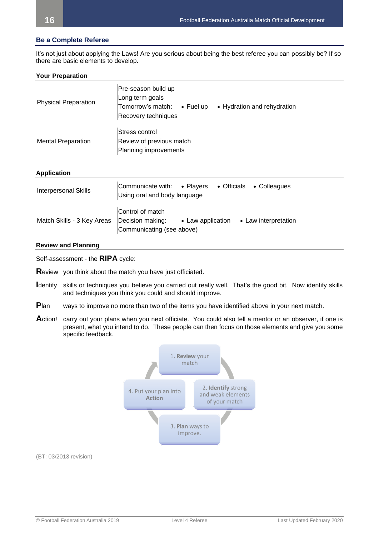## **Be a Complete Referee**

It's not just about applying the Laws! Are you serious about being the best referee you can possibly be? If so there are basic elements to develop.

## **Your Preparation**

| <b>Physical Preparation</b> | Pre-season build up<br>Long term goals<br>Tomorrow's match:<br>$\bullet$ Fuel up<br>Recovery techniques | • Hydration and rehydration |
|-----------------------------|---------------------------------------------------------------------------------------------------------|-----------------------------|
| <b>Mental Preparation</b>   | Stress control<br>Review of previous match<br>Planning improvements                                     |                             |

## **Application**

| <b>Interpersonal Skills</b> | Communicate with: • Players<br>Using oral and body language       |                   | • Officials • Colleagues |
|-----------------------------|-------------------------------------------------------------------|-------------------|--------------------------|
| Match Skills - 3 Key Areas  | Control of match<br>Decision making:<br>Communicating (see above) | • Law application | • Law interpretation     |

#### **Review and Planning**

Self-assessment - the **RIPA** cycle:

**R**eview you think about the match you have just officiated.

- **I**dentify skills or techniques you believe you carried out really well. That's the good bit. Now identify skills and techniques you think you could and should improve.
- **P**lan ways to improve no more than two of the items you have identified above in your next match.
- Action! carry out your plans when you next officiate. You could also tell a mentor or an observer, if one is present, what you intend to do. These people can then focus on those elements and give you some specific feedback.



(BT: 03/2013 revision)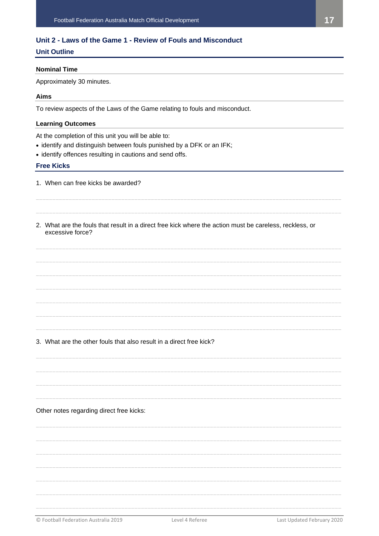## <span id="page-16-0"></span>Unit 2 - Laws of the Game 1 - Review of Fouls and Misconduct

## **Unit Outline**

## **Nominal Time**

Approximately 30 minutes.

## **Aims**

To review aspects of the Laws of the Game relating to fouls and misconduct.

## **Learning Outcomes**

At the completion of this unit you will be able to:

- identify and distinguish between fouls punished by a DFK or an IFK;
- identify offences resulting in cautions and send offs.

## **Free Kicks**

- 1. When can free kicks be awarded?
- 2. What are the fouls that result in a direct free kick where the action must be careless, reckless, or excessive force?

## 3. What are the other fouls that also result in a direct free kick?

Other notes regarding direct free kicks:

Level 4 Referee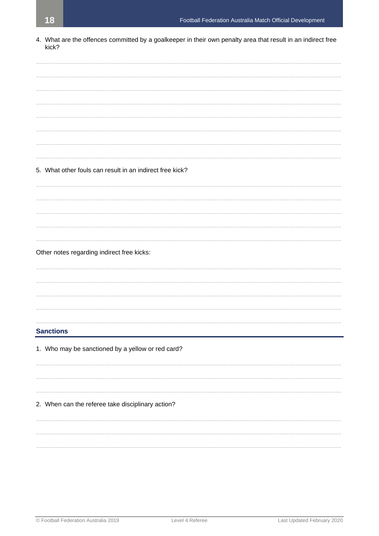4. What are the offences committed by a goalkeeper in their own penalty area that result in an indirect free kick?

5. What other fouls can result in an indirect free kick? Other notes regarding indirect free kicks: **Sanctions** 1. Who may be sanctioned by a yellow or red card? 2. When can the referee take disciplinary action?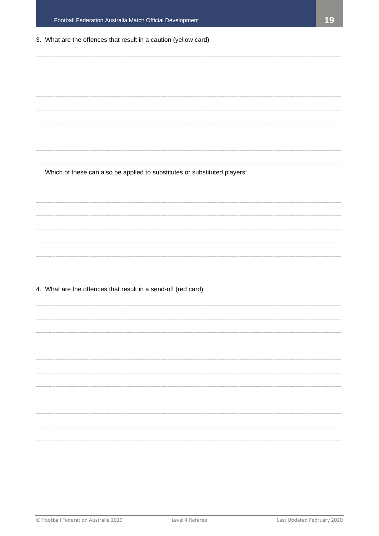## 3. What are the offences that result in a caution (yellow card)

Which of these can also be applied to substitutes or substituted players:

4. What are the offences that result in a send-off (red card)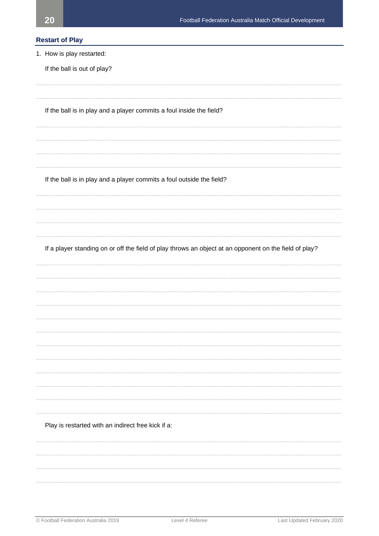## **Restart of Play**

1. How is play restarted:

If the ball is out of play?

If the ball is in play and a player commits a foul inside the field?

If the ball is in play and a player commits a foul outside the field?

If a player standing on or off the field of play throws an object at an opponent on the field of play?

Play is restarted with an indirect free kick if a: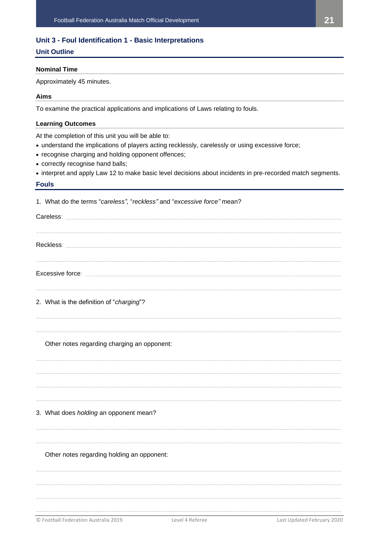## <span id="page-20-0"></span>**Unit 3 - Foul Identification 1 - Basic Interpretations**

## **Unit Outline**

## **Nominal Time**

Approximately 45 minutes.

## **Aims**

To examine the practical applications and implications of Laws relating to fouls.

## **Learning Outcomes**

At the completion of this unit you will be able to:

- understand the implications of players acting recklessly, carelessly or using excessive force;
- recognise charging and holding opponent offences;
- correctly recognise hand balls;
- interpret and apply Law 12 to make basic level decisions about incidents in pre-recorded match segments.

## **Fouls**

| 1. What do the terms "careless", "reckless" and "excessive force" mean? |                 |                            |
|-------------------------------------------------------------------------|-----------------|----------------------------|
|                                                                         |                 |                            |
|                                                                         |                 |                            |
|                                                                         |                 |                            |
| 2. What is the definition of "charging"?                                |                 |                            |
| Other notes regarding charging an opponent:                             |                 |                            |
| 3. What does holding an opponent mean?                                  |                 |                            |
| Other notes regarding holding an opponent:                              |                 |                            |
| © Football Federation Australia 2019                                    | Level 4 Referee | Last Updated February 2020 |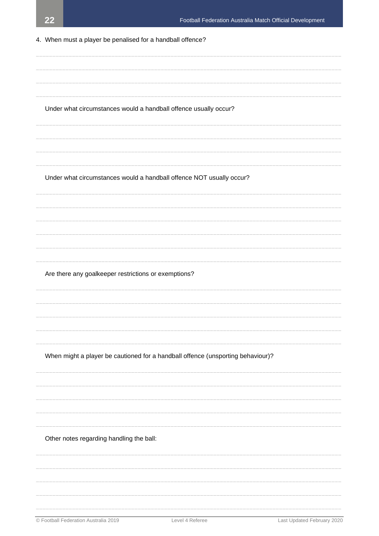4. When must a player be penalised for a handball offence?

| © Football Federation Australia 2019                             | Level 4 Referee                                                                 | Last Updated February 2020 |
|------------------------------------------------------------------|---------------------------------------------------------------------------------|----------------------------|
|                                                                  |                                                                                 |                            |
| Other notes regarding handling the ball:                         |                                                                                 |                            |
|                                                                  |                                                                                 |                            |
|                                                                  |                                                                                 |                            |
|                                                                  |                                                                                 |                            |
|                                                                  | When might a player be cautioned for a handball offence (unsporting behaviour)? |                            |
|                                                                  |                                                                                 |                            |
|                                                                  |                                                                                 |                            |
|                                                                  |                                                                                 |                            |
| Are there any goalkeeper restrictions or exemptions?             |                                                                                 |                            |
|                                                                  |                                                                                 |                            |
|                                                                  |                                                                                 |                            |
|                                                                  |                                                                                 |                            |
|                                                                  | Under what circumstances would a handball offence NOT usually occur?            |                            |
|                                                                  |                                                                                 |                            |
|                                                                  |                                                                                 |                            |
| Under what circumstances would a handball offence usually occur? |                                                                                 |                            |
|                                                                  |                                                                                 |                            |
|                                                                  |                                                                                 |                            |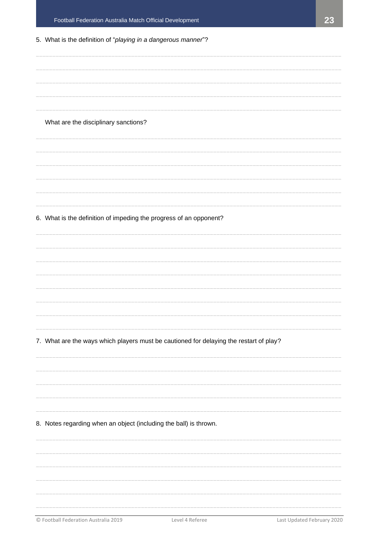| 5. What is the definition of "playing in a dangerous manner"?                          |
|----------------------------------------------------------------------------------------|
|                                                                                        |
|                                                                                        |
|                                                                                        |
|                                                                                        |
| What are the disciplinary sanctions?                                                   |
|                                                                                        |
|                                                                                        |
|                                                                                        |
|                                                                                        |
|                                                                                        |
| 6. What is the definition of impeding the progress of an opponent?                     |
|                                                                                        |
|                                                                                        |
|                                                                                        |
|                                                                                        |
|                                                                                        |
|                                                                                        |
|                                                                                        |
| 7. What are the ways which players must be cautioned for delaying the restart of play? |
|                                                                                        |
|                                                                                        |
|                                                                                        |
|                                                                                        |
| 8. Notes regarding when an object (including the ball) is thrown.                      |
|                                                                                        |
|                                                                                        |
|                                                                                        |
|                                                                                        |
|                                                                                        |
|                                                                                        |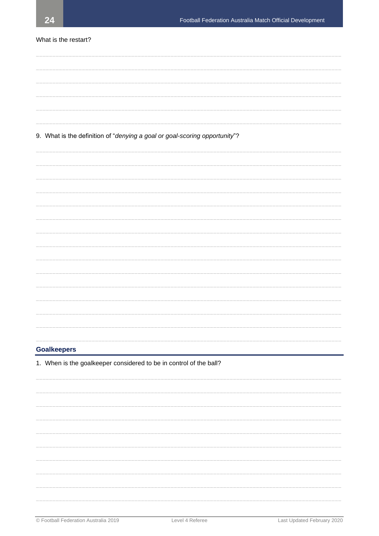## What is the restart?

## 9. What is the definition of "denying a goal or goal-scoring opportunity"?

#### **Goalkeepers**

1. When is the goalkeeper considered to be in control of the ball?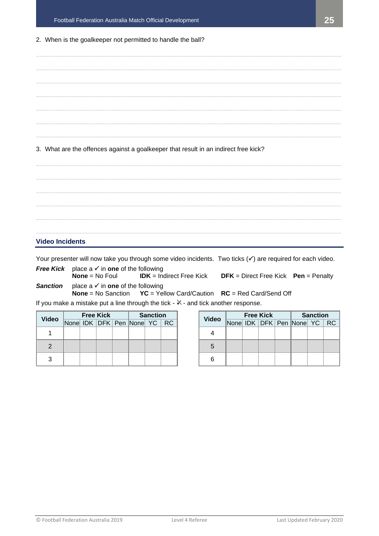## 2. When is the goalkeeper not permitted to handle the ball?

**\_\_\_\_\_\_\_\_\_\_\_\_\_\_\_\_\_\_\_\_\_\_\_\_\_\_\_\_\_\_\_\_\_\_\_\_\_\_\_\_\_\_\_\_\_\_\_\_\_\_\_\_\_\_\_\_\_\_\_\_\_\_\_\_\_\_\_\_\_\_\_\_\_\_\_\_\_\_\_\_\_\_\_\_\_\_\_\_\_\_\_\_\_ \_\_\_\_\_\_\_\_\_\_\_\_\_\_\_\_\_\_\_\_\_\_\_\_\_\_\_\_\_\_\_\_\_\_\_\_\_\_\_\_\_\_\_\_\_\_\_\_\_\_\_\_\_\_\_\_\_\_\_\_\_\_\_\_\_\_\_\_\_\_\_\_\_\_\_\_\_\_\_\_\_\_\_\_\_\_\_\_\_\_\_\_\_ \_\_\_\_\_\_\_\_\_\_\_\_\_\_\_\_\_\_\_\_\_\_\_\_\_\_\_\_\_\_\_\_\_\_\_\_\_\_\_\_\_\_\_\_\_\_\_\_\_\_\_\_\_\_\_\_\_\_\_\_\_\_\_\_\_\_\_\_\_\_\_\_\_\_\_\_\_\_\_\_\_\_\_\_\_\_\_\_\_\_\_\_\_ \_\_\_\_\_\_\_\_\_\_\_\_\_\_\_\_\_\_\_\_\_\_\_\_\_\_\_\_\_\_\_\_\_\_\_\_\_\_\_\_\_\_\_\_\_\_\_\_\_\_\_\_\_\_\_\_\_\_\_\_\_\_\_\_\_\_\_\_\_\_\_\_\_\_\_\_\_\_\_\_\_\_\_\_\_\_\_\_\_\_\_\_\_ \_\_\_\_\_\_\_\_\_\_\_\_\_\_\_\_\_\_\_\_\_\_\_\_\_\_\_\_\_\_\_\_\_\_\_\_\_\_\_\_\_\_\_\_\_\_\_\_\_\_\_\_\_\_\_\_\_\_\_\_\_\_\_\_\_\_\_\_\_\_\_\_\_\_\_\_\_\_\_\_\_\_\_\_\_\_\_\_\_\_\_\_\_ \_\_\_\_\_\_\_\_\_\_\_\_\_\_\_\_\_\_\_\_\_\_\_\_\_\_\_\_\_\_\_\_\_\_\_\_\_\_\_\_\_\_\_\_\_\_\_\_\_\_\_\_\_\_\_\_\_\_\_\_\_\_\_\_\_\_\_\_\_\_\_\_\_\_\_\_\_\_\_\_\_\_\_\_\_\_\_\_\_\_\_\_\_ \_\_\_\_\_\_\_\_\_\_\_\_\_\_\_\_\_\_\_\_\_\_\_\_\_\_\_\_\_\_\_\_\_\_\_\_\_\_\_\_\_\_\_\_\_\_\_\_\_\_\_\_\_\_\_\_\_\_\_\_\_\_\_\_\_\_\_\_\_\_\_\_\_\_\_\_\_\_\_\_\_\_\_\_\_\_\_\_\_\_\_\_\_** 3. What are the offences against a goalkeeper that result in an indirect free kick?

**\_\_\_\_\_\_\_\_\_\_\_\_\_\_\_\_\_\_\_\_\_\_\_\_\_\_\_\_\_\_\_\_\_\_\_\_\_\_\_\_\_\_\_\_\_\_\_\_\_\_\_\_\_\_\_\_\_\_\_\_\_\_\_\_\_\_\_\_\_\_\_\_\_\_\_\_\_\_\_\_\_\_\_\_\_\_\_\_\_\_\_\_\_ \_\_\_\_\_\_\_\_\_\_\_\_\_\_\_\_\_\_\_\_\_\_\_\_\_\_\_\_\_\_\_\_\_\_\_\_\_\_\_\_\_\_\_\_\_\_\_\_\_\_\_\_\_\_\_\_\_\_\_\_\_\_\_\_\_\_\_\_\_\_\_\_\_\_\_\_\_\_\_\_\_\_\_\_\_\_\_\_\_\_\_\_\_ \_\_\_\_\_\_\_\_\_\_\_\_\_\_\_\_\_\_\_\_\_\_\_\_\_\_\_\_\_\_\_\_\_\_\_\_\_\_\_\_\_\_\_\_\_\_\_\_\_\_\_\_\_\_\_\_\_\_\_\_\_\_\_\_\_\_\_\_\_\_\_\_\_\_\_\_\_\_\_\_\_\_\_\_\_\_\_\_\_\_\_\_\_ \_\_\_\_\_\_\_\_\_\_\_\_\_\_\_\_\_\_\_\_\_\_\_\_\_\_\_\_\_\_\_\_\_\_\_\_\_\_\_\_\_\_\_\_\_\_\_\_\_\_\_\_\_\_\_\_\_\_\_\_\_\_\_\_\_\_\_\_\_\_\_\_\_\_\_\_\_\_\_\_\_\_\_\_\_\_\_\_\_\_\_\_\_ \_\_\_\_\_\_\_\_\_\_\_\_\_\_\_\_\_\_\_\_\_\_\_\_\_\_\_\_\_\_\_\_\_\_\_\_\_\_\_\_\_\_\_\_\_\_\_\_\_\_\_\_\_\_\_\_\_\_\_\_\_\_\_\_\_\_\_\_\_\_\_\_\_\_\_\_\_\_\_\_\_\_\_\_\_\_\_\_\_\_\_\_\_ \_\_\_\_\_\_\_\_\_\_\_\_\_\_\_\_\_\_\_\_\_\_\_\_\_\_\_\_\_\_\_\_\_\_\_\_\_\_\_\_\_\_\_\_\_\_\_\_\_\_\_\_\_\_\_\_\_\_\_\_\_\_\_\_\_\_\_\_\_\_\_\_\_\_\_\_\_\_\_\_\_\_\_\_\_\_\_\_\_\_\_\_\_**

## **Video Incidents**

Your presenter will now take you through some video incidents. Two ticks  $(v)$  are required for each video.

**Free Kick** place a **√** in **one** of the following<br>**None** = No Foul **IDK** = Indirect Free Kick **No. 1 IDFK** = Direct Free Kick **Pen** = Penalty **Sanction** place  $a \checkmark$  in one of the following

**None** = No Sanction **YC** = Yellow Card/Caution **RC** = Red Card/Send Off

If you make a mistake put a line through the tick -  $\mathbb{X}$  - and tick another response.

| <b>Video</b> | <b>Free Kick</b> |  |  |  | <b>Sanction</b>          |  |           |
|--------------|------------------|--|--|--|--------------------------|--|-----------|
|              |                  |  |  |  | None IDK DFK Pen None YC |  | <b>RC</b> |
|              |                  |  |  |  |                          |  |           |
|              |                  |  |  |  |                          |  |           |
|              |                  |  |  |  |                          |  |           |

| <b>Free Kick</b> |  |  |  | <b>Sanction</b>          |  |           | <b>Video</b> | <b>Free Kick</b>         |  |  |  | <b>Sanction</b> |  |                             |  |
|------------------|--|--|--|--------------------------|--|-----------|--------------|--------------------------|--|--|--|-----------------|--|-----------------------------|--|
|                  |  |  |  | None IDK DFK Pen None YC |  | <b>RC</b> |              | None IDK DFK Pen None YC |  |  |  |                 |  | $\overline{\phantom{a}}$ RC |  |
|                  |  |  |  |                          |  |           |              |                          |  |  |  |                 |  |                             |  |
|                  |  |  |  |                          |  |           | G            |                          |  |  |  |                 |  |                             |  |
|                  |  |  |  |                          |  |           |              |                          |  |  |  |                 |  |                             |  |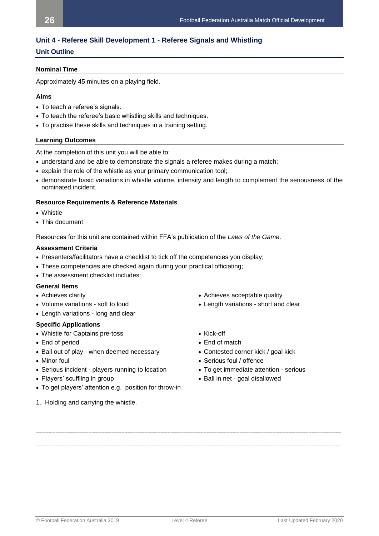## <span id="page-25-0"></span>**Unit 4 - Referee Skill Development 1 - Referee Signals and Whistling**

## **Unit Outline**

## **Nominal Time**

Approximately 45 minutes on a playing field.

## **Aims**

- To teach a referee's signals.
- To teach the referee's basic whistling skills and techniques.
- To practise these skills and techniques in a training setting.

## **Learning Outcomes**

At the completion of this unit you will be able to:

- understand and be able to demonstrate the signals a referee makes during a match;
- explain the role of the whistle as your primary communication tool;
- demonstrate basic variations in whistle volume, intensity and length to complement the seriousness of the nominated incident.

## **Resource Requirements & Reference Materials**

- Whistle
- This document

Resources for this unit are contained within FFA's publication of the *Laws of the Game*.

## **Assessment Criteria**

- Presenters/facilitators have a checklist to tick off the competencies you display;
- These competencies are checked again during your practical officiating;
- The assessment checklist includes:

## **General Items**

- 
- Volume variations soft to loud Length variations short and clear
- Length variations long and clear

## **Specific Applications**

- Whistle for Captains pre-toss Kick-off
- 
- Ball out of play when deemed necessary Contested corner kick / goal kick
- 
- Serious incident players running to location To get immediate attention serious
- 
- To get players' attention e.g. position for throw-in
- 1. Holding and carrying the whistle.
- Achieves clarity  **Achieves acceptable quality** Achieves acceptable quality
	-
	-
- End of period End of match
	-
- Minor foul Serious foul / offence
	-
- Players' scuffling in group  **Ball in net goal disallowed** Ball in net goal disallowed

**\_\_\_\_\_\_\_\_\_\_\_\_\_\_\_\_\_\_\_\_\_\_\_\_\_\_\_\_\_\_\_\_\_\_\_\_\_\_\_\_\_\_\_\_\_\_\_\_\_\_\_\_\_\_\_\_\_\_\_\_\_\_\_\_\_\_\_\_\_\_\_\_\_\_\_\_\_\_\_\_\_\_\_\_\_\_\_\_\_\_\_\_\_**

**\_\_\_\_\_\_\_\_\_\_\_\_\_\_\_\_\_\_\_\_\_\_\_\_\_\_\_\_\_\_\_\_\_\_\_\_\_\_\_\_\_\_\_\_\_\_\_\_\_\_\_\_\_\_\_\_\_\_\_\_\_\_\_\_\_\_\_\_\_\_\_\_\_\_\_\_\_\_\_\_\_\_\_\_\_\_\_\_\_\_\_\_\_**

**\_\_\_\_\_\_\_\_\_\_\_\_\_\_\_\_\_\_\_\_\_\_\_\_\_\_\_\_\_\_\_\_\_\_\_\_\_\_\_\_\_\_\_\_\_\_\_\_\_\_\_\_\_\_\_\_\_\_\_\_\_\_\_\_\_\_\_\_\_\_\_\_\_\_\_\_\_\_\_\_\_\_\_\_\_\_\_\_\_\_\_\_\_**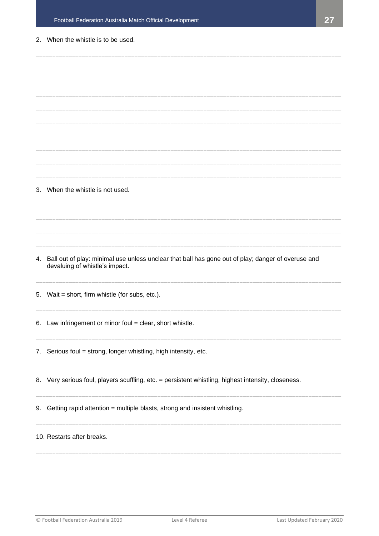## 2. When the whistle is to be used.

|    | 3. When the whistle is not used.                                                                                                        |
|----|-----------------------------------------------------------------------------------------------------------------------------------------|
|    |                                                                                                                                         |
|    |                                                                                                                                         |
|    |                                                                                                                                         |
|    |                                                                                                                                         |
|    |                                                                                                                                         |
|    | 4. Ball out of play: minimal use unless unclear that ball has gone out of play; danger of overuse and<br>devaluing of whistle's impact. |
|    | 5. Wait = short, firm whistle (for subs, etc.).                                                                                         |
| 6. | Law infringement or minor foul = clear, short whistle.                                                                                  |
|    | 7. Serious foul = strong, longer whistling, high intensity, etc.                                                                        |
|    | 8. Very serious foul, players scuffling, etc. = persistent whistling, highest intensity, closeness.                                     |
|    | 9. Getting rapid attention = multiple blasts, strong and insistent whistling.                                                           |
|    | 10. Restarts after breaks.                                                                                                              |
|    |                                                                                                                                         |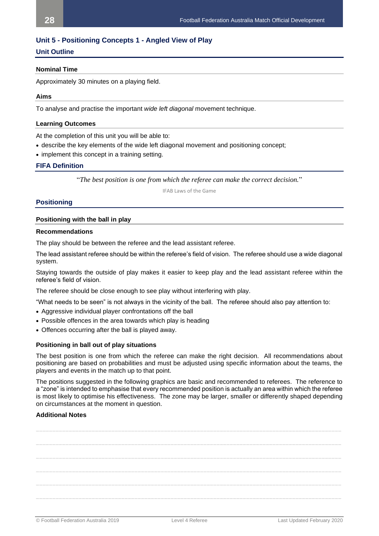## <span id="page-27-0"></span>**Unit 5 - Positioning Concepts 1 - Angled View of Play**

## **Unit Outline**

#### **Nominal Time**

Approximately 30 minutes on a playing field.

#### **Aims**

To analyse and practise the important *wide left diagonal* movement technique.

#### **Learning Outcomes**

At the completion of this unit you will be able to:

- describe the key elements of the wide left diagonal movement and positioning concept;
- implement this concept in a training setting.

## **FIFA Definition**

"*The best position is one from which the referee can make the correct decision.*"

IFAB Laws of the Game

## **Positioning**

#### **Positioning with the ball in play**

#### **Recommendations**

The play should be between the referee and the lead assistant referee.

The lead assistant referee should be within the referee's field of vision. The referee should use a wide diagonal system.

Staying towards the outside of play makes it easier to keep play and the lead assistant referee within the referee's field of vision.

The referee should be close enough to see play without interfering with play.

"What needs to be seen" is not always in the vicinity of the ball. The referee should also pay attention to:

- Aggressive individual player confrontations off the ball
- Possible offences in the area towards which play is heading
- Offences occurring after the ball is played away.

#### **Positioning in ball out of play situations**

The best position is one from which the referee can make the right decision. All recommendations about positioning are based on probabilities and must be adjusted using specific information about the teams, the players and events in the match up to that point.

The positions suggested in the following graphics are basic and recommended to referees. The reference to a "zone" is intended to emphasise that every recommended position is actually an area within which the referee is most likely to optimise his effectiveness. The zone may be larger, smaller or differently shaped depending on circumstances at the moment in question.

## **Additional Notes**

**\_\_\_\_\_\_\_\_\_\_\_\_\_\_\_\_\_\_\_\_\_\_\_\_\_\_\_\_\_\_\_\_\_\_\_\_\_\_\_\_\_\_\_\_\_\_\_\_\_\_\_\_\_\_\_\_\_\_\_\_\_\_\_\_\_\_\_\_\_\_\_\_\_\_\_\_\_\_\_\_\_\_\_\_\_\_\_\_\_\_\_\_\_ \_\_\_\_\_\_\_\_\_\_\_\_\_\_\_\_\_\_\_\_\_\_\_\_\_\_\_\_\_\_\_\_\_\_\_\_\_\_\_\_\_\_\_\_\_\_\_\_\_\_\_\_\_\_\_\_\_\_\_\_\_\_\_\_\_\_\_\_\_\_\_\_\_\_\_\_\_\_\_\_\_\_\_\_\_\_\_\_\_\_\_\_\_ \_\_\_\_\_\_\_\_\_\_\_\_\_\_\_\_\_\_\_\_\_\_\_\_\_\_\_\_\_\_\_\_\_\_\_\_\_\_\_\_\_\_\_\_\_\_\_\_\_\_\_\_\_\_\_\_\_\_\_\_\_\_\_\_\_\_\_\_\_\_\_\_\_\_\_\_\_\_\_\_\_\_\_\_\_\_\_\_\_\_\_\_\_ \_\_\_\_\_\_\_\_\_\_\_\_\_\_\_\_\_\_\_\_\_\_\_\_\_\_\_\_\_\_\_\_\_\_\_\_\_\_\_\_\_\_\_\_\_\_\_\_\_\_\_\_\_\_\_\_\_\_\_\_\_\_\_\_\_\_\_\_\_\_\_\_\_\_\_\_\_\_\_\_\_\_\_\_\_\_\_\_\_\_\_\_\_ \_\_\_\_\_\_\_\_\_\_\_\_\_\_\_\_\_\_\_\_\_\_\_\_\_\_\_\_\_\_\_\_\_\_\_\_\_\_\_\_\_\_\_\_\_\_\_\_\_\_\_\_\_\_\_\_\_\_\_\_\_\_\_\_\_\_\_\_\_\_\_\_\_\_\_\_\_\_\_\_\_\_\_\_\_\_\_\_\_\_\_\_\_ \_\_\_\_\_\_\_\_\_\_\_\_\_\_\_\_\_\_\_\_\_\_\_\_\_\_\_\_\_\_\_\_\_\_\_\_\_\_\_\_\_\_\_\_\_\_\_\_\_\_\_\_\_\_\_\_\_\_\_\_\_\_\_\_\_\_\_\_\_\_\_\_\_\_\_\_\_\_\_\_\_\_\_\_\_\_\_\_\_\_\_\_\_**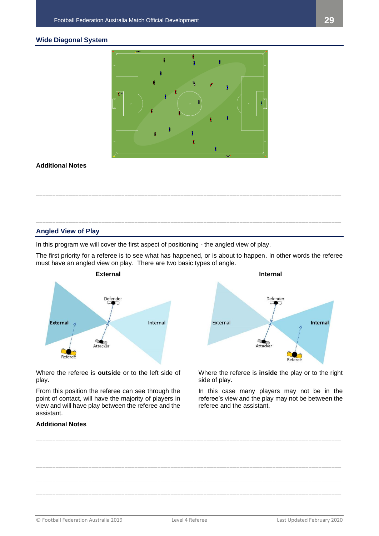## **Wide Diagonal System**



## **Additional Notes**



## **Angled View of Play**

In this program we will cover the first aspect of positioning - the angled view of play.

The first priority for a referee is to see what has happened, or is about to happen. In other words the referee must have an angled view on play. There are two basic types of angle.



Where the referee is **outside** or to the left side of play.

From this position the referee can see through the point of contact, will have the majority of players in view and will have play between the referee and the assistant.



Where the referee is **inside** the play or to the right side of play.

In this case many players may not be in the referee's view and the play may not be between the referee and the assistant.

## **Additional Notes**

© Football Federation Australia 2019 Level 4 Referee Last Updated February 2020 **\_\_\_\_\_\_\_\_\_\_\_\_\_\_\_\_\_\_\_\_\_\_\_\_\_\_\_\_\_\_\_\_\_\_\_\_\_\_\_\_\_\_\_\_\_\_\_\_\_\_\_\_\_\_\_\_\_\_\_\_\_\_\_\_\_\_\_\_\_\_\_\_\_\_\_\_\_\_\_\_\_\_\_\_\_\_\_\_\_\_\_\_\_ \_\_\_\_\_\_\_\_\_\_\_\_\_\_\_\_\_\_\_\_\_\_\_\_\_\_\_\_\_\_\_\_\_\_\_\_\_\_\_\_\_\_\_\_\_\_\_\_\_\_\_\_\_\_\_\_\_\_\_\_\_\_\_\_\_\_\_\_\_\_\_\_\_\_\_\_\_\_\_\_\_\_\_\_\_\_\_\_\_\_\_\_\_ \_\_\_\_\_\_\_\_\_\_\_\_\_\_\_\_\_\_\_\_\_\_\_\_\_\_\_\_\_\_\_\_\_\_\_\_\_\_\_\_\_\_\_\_\_\_\_\_\_\_\_\_\_\_\_\_\_\_\_\_\_\_\_\_\_\_\_\_\_\_\_\_\_\_\_\_\_\_\_\_\_\_\_\_\_\_\_\_\_\_\_\_\_ \_\_\_\_\_\_\_\_\_\_\_\_\_\_\_\_\_\_\_\_\_\_\_\_\_\_\_\_\_\_\_\_\_\_\_\_\_\_\_\_\_\_\_\_\_\_\_\_\_\_\_\_\_\_\_\_\_\_\_\_\_\_\_\_\_\_\_\_\_\_\_\_\_\_\_\_\_\_\_\_\_\_\_\_\_\_\_\_\_\_\_\_\_ \_\_\_\_\_\_\_\_\_\_\_\_\_\_\_\_\_\_\_\_\_\_\_\_\_\_\_\_\_\_\_\_\_\_\_\_\_\_\_\_\_\_\_\_\_\_\_\_\_\_\_\_\_\_\_\_\_\_\_\_\_\_\_\_\_\_\_\_\_\_\_\_\_\_\_\_\_\_\_\_\_\_\_\_\_\_\_\_\_\_\_\_\_ \_\_\_\_\_\_\_\_\_\_\_\_\_\_\_\_\_\_\_\_\_\_\_\_\_\_\_\_\_\_\_\_\_\_\_\_\_\_\_\_\_\_\_\_\_\_\_\_\_\_\_\_\_\_\_\_\_\_\_\_\_\_\_\_\_\_\_\_\_\_\_\_\_\_\_\_\_\_\_\_\_\_\_\_\_\_\_\_\_\_\_\_\_**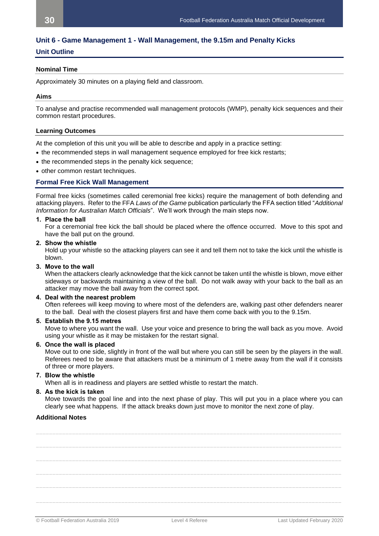## <span id="page-29-0"></span>**Unit 6 - Game Management 1 - Wall Management, the 9.15m and Penalty Kicks**

## **Unit Outline**

## **Nominal Time**

Approximately 30 minutes on a playing field and classroom.

## **Aims**

To analyse and practise recommended wall management protocols (WMP), penalty kick sequences and their common restart procedures.

## **Learning Outcomes**

At the completion of this unit you will be able to describe and apply in a practice setting:

- the recommended steps in wall management sequence employed for free kick restarts;
- the recommended steps in the penalty kick sequence;
- other common restart techniques.

## **Formal Free Kick Wall Management**

Formal free kicks (sometimes called ceremonial free kicks) require the management of both defending and attacking players. Refer to the FFA *Laws of the Game* publication particularly the FFA section titled "*Additional Information for Australian Match Officials*". We'll work through the main steps now.

## **1. Place the ball**

For a ceremonial free kick the ball should be placed where the offence occurred. Move to this spot and have the ball put on the ground.

**2. Show the whistle**

Hold up your whistle so the attacking players can see it and tell them not to take the kick until the whistle is blown.

#### **3. Move to the wall**

When the attackers clearly acknowledge that the kick cannot be taken until the whistle is blown, move either sideways or backwards maintaining a view of the ball. Do not walk away with your back to the ball as an attacker may move the ball away from the correct spot.

## **4. Deal with the nearest problem**

Often referees will keep moving to where most of the defenders are, walking past other defenders nearer to the ball. Deal with the closest players first and have them come back with you to the 9.15m.

## **5. Establish the 9.15 metres**

Move to where you want the wall. Use your voice and presence to bring the wall back as you move. Avoid using your whistle as it may be mistaken for the restart signal.

## **6. Once the wall is placed**

Move out to one side, slightly in front of the wall but where you can still be seen by the players in the wall. Referees need to be aware that attackers must be a minimum of 1 metre away from the wall if it consists of three or more players.

## **7. Blow the whistle**

When all is in readiness and players are settled whistle to restart the match.

## **8. As the kick is taken**

Move towards the goal line and into the next phase of play. This will put you in a place where you can clearly see what happens. If the attack breaks down just move to monitor the next zone of play.

## **Additional Notes**

**\_\_\_\_\_\_\_\_\_\_\_\_\_\_\_\_\_\_\_\_\_\_\_\_\_\_\_\_\_\_\_\_\_\_\_\_\_\_\_\_\_\_\_\_\_\_\_\_\_\_\_\_\_\_\_\_\_\_\_\_\_\_\_\_\_\_\_\_\_\_\_\_\_\_\_\_\_\_\_\_\_\_\_\_\_\_\_\_\_\_\_\_\_ \_\_\_\_\_\_\_\_\_\_\_\_\_\_\_\_\_\_\_\_\_\_\_\_\_\_\_\_\_\_\_\_\_\_\_\_\_\_\_\_\_\_\_\_\_\_\_\_\_\_\_\_\_\_\_\_\_\_\_\_\_\_\_\_\_\_\_\_\_\_\_\_\_\_\_\_\_\_\_\_\_\_\_\_\_\_\_\_\_\_\_\_\_ \_\_\_\_\_\_\_\_\_\_\_\_\_\_\_\_\_\_\_\_\_\_\_\_\_\_\_\_\_\_\_\_\_\_\_\_\_\_\_\_\_\_\_\_\_\_\_\_\_\_\_\_\_\_\_\_\_\_\_\_\_\_\_\_\_\_\_\_\_\_\_\_\_\_\_\_\_\_\_\_\_\_\_\_\_\_\_\_\_\_\_\_\_ \_\_\_\_\_\_\_\_\_\_\_\_\_\_\_\_\_\_\_\_\_\_\_\_\_\_\_\_\_\_\_\_\_\_\_\_\_\_\_\_\_\_\_\_\_\_\_\_\_\_\_\_\_\_\_\_\_\_\_\_\_\_\_\_\_\_\_\_\_\_\_\_\_\_\_\_\_\_\_\_\_\_\_\_\_\_\_\_\_\_\_\_\_ \_\_\_\_\_\_\_\_\_\_\_\_\_\_\_\_\_\_\_\_\_\_\_\_\_\_\_\_\_\_\_\_\_\_\_\_\_\_\_\_\_\_\_\_\_\_\_\_\_\_\_\_\_\_\_\_\_\_\_\_\_\_\_\_\_\_\_\_\_\_\_\_\_\_\_\_\_\_\_\_\_\_\_\_\_\_\_\_\_\_\_\_\_ \_\_\_\_\_\_\_\_\_\_\_\_\_\_\_\_\_\_\_\_\_\_\_\_\_\_\_\_\_\_\_\_\_\_\_\_\_\_\_\_\_\_\_\_\_\_\_\_\_\_\_\_\_\_\_\_\_\_\_\_\_\_\_\_\_\_\_\_\_\_\_\_\_\_\_\_\_\_\_\_\_\_\_\_\_\_\_\_\_\_\_\_\_**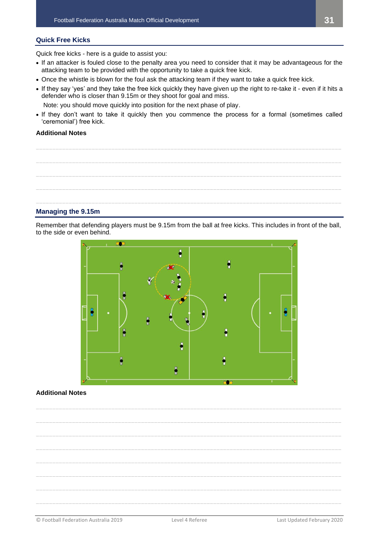## **Quick Free Kicks**

Quick free kicks - here is a guide to assist you:

- If an attacker is fouled close to the penalty area you need to consider that it may be advantageous for the attacking team to be provided with the opportunity to take a quick free kick.
- Once the whistle is blown for the foul ask the attacking team if they want to take a quick free kick.
- If they say 'yes' and they take the free kick quickly they have given up the right to re-take it even if it hits a defender who is closer than 9.15m or they shoot for goal and miss.

Note: you should move quickly into position for the next phase of play.

• If they don't want to take it quickly then you commence the process for a formal (sometimes called 'ceremonial') free kick.

## **Additional Notes**



## **Managing the 9.15m**

Remember that defending players must be 9.15m from the ball at free kicks. This includes in front of the ball, to the side or even behind.



## **Additional Notes**

**\_\_\_\_\_\_\_\_\_\_\_\_\_\_\_\_\_\_\_\_\_\_\_\_\_\_\_\_\_\_\_\_\_\_\_\_\_\_\_\_\_\_\_\_\_\_\_\_\_\_\_\_\_\_\_\_\_\_\_\_\_\_\_\_\_\_\_\_\_\_\_\_\_\_\_\_\_\_\_\_\_\_\_\_\_\_\_\_\_\_\_\_\_ \_\_\_\_\_\_\_\_\_\_\_\_\_\_\_\_\_\_\_\_\_\_\_\_\_\_\_\_\_\_\_\_\_\_\_\_\_\_\_\_\_\_\_\_\_\_\_\_\_\_\_\_\_\_\_\_\_\_\_\_\_\_\_\_\_\_\_\_\_\_\_\_\_\_\_\_\_\_\_\_\_\_\_\_\_\_\_\_\_\_\_\_\_ \_\_\_\_\_\_\_\_\_\_\_\_\_\_\_\_\_\_\_\_\_\_\_\_\_\_\_\_\_\_\_\_\_\_\_\_\_\_\_\_\_\_\_\_\_\_\_\_\_\_\_\_\_\_\_\_\_\_\_\_\_\_\_\_\_\_\_\_\_\_\_\_\_\_\_\_\_\_\_\_\_\_\_\_\_\_\_\_\_\_\_\_\_ \_\_\_\_\_\_\_\_\_\_\_\_\_\_\_\_\_\_\_\_\_\_\_\_\_\_\_\_\_\_\_\_\_\_\_\_\_\_\_\_\_\_\_\_\_\_\_\_\_\_\_\_\_\_\_\_\_\_\_\_\_\_\_\_\_\_\_\_\_\_\_\_\_\_\_\_\_\_\_\_\_\_\_\_\_\_\_\_\_\_\_\_\_ \_\_\_\_\_\_\_\_\_\_\_\_\_\_\_\_\_\_\_\_\_\_\_\_\_\_\_\_\_\_\_\_\_\_\_\_\_\_\_\_\_\_\_\_\_\_\_\_\_\_\_\_\_\_\_\_\_\_\_\_\_\_\_\_\_\_\_\_\_\_\_\_\_\_\_\_\_\_\_\_\_\_\_\_\_\_\_\_\_\_\_\_\_ \_\_\_\_\_\_\_\_\_\_\_\_\_\_\_\_\_\_\_\_\_\_\_\_\_\_\_\_\_\_\_\_\_\_\_\_\_\_\_\_\_\_\_\_\_\_\_\_\_\_\_\_\_\_\_\_\_\_\_\_\_\_\_\_\_\_\_\_\_\_\_\_\_\_\_\_\_\_\_\_\_\_\_\_\_\_\_\_\_\_\_\_\_ \_\_\_\_\_\_\_\_\_\_\_\_\_\_\_\_\_\_\_\_\_\_\_\_\_\_\_\_\_\_\_\_\_\_\_\_\_\_\_\_\_\_\_\_\_\_\_\_\_\_\_\_\_\_\_\_\_\_\_\_\_\_\_\_\_\_\_\_\_\_\_\_\_\_\_\_\_\_\_\_\_\_\_\_\_\_\_\_\_\_\_\_\_ \_\_\_\_\_\_\_\_\_\_\_\_\_\_\_\_\_\_\_\_\_\_\_\_\_\_\_\_\_\_\_\_\_\_\_\_\_\_\_\_\_\_\_\_\_\_\_\_\_\_\_\_\_\_\_\_\_\_\_\_\_\_\_\_\_\_\_\_\_\_\_\_\_\_\_\_\_\_\_\_\_\_\_\_\_\_\_\_\_\_\_\_\_**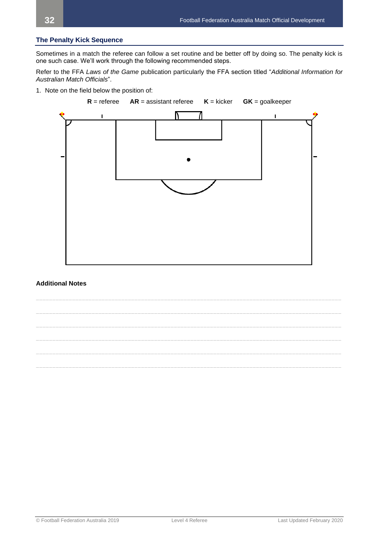## **The Penalty Kick Sequence**

Sometimes in a match the referee can follow a set routine and be better off by doing so. The penalty kick is one such case. We'll work through the following recommended steps.

Refer to the FFA *Laws of the Game* publication particularly the FFA section titled "*Additional Information for Australian Match Officials*".

1. Note on the field below the position of:



## **Additional Notes**

**\_\_\_\_\_\_\_\_\_\_\_\_\_\_\_\_\_\_\_\_\_\_\_\_\_\_\_\_\_\_\_\_\_\_\_\_\_\_\_\_\_\_\_\_\_\_\_\_\_\_\_\_\_\_\_\_\_\_\_\_\_\_\_\_\_\_\_\_\_\_\_\_\_\_\_\_\_\_\_\_\_\_\_\_\_\_\_\_\_\_\_\_\_ \_\_\_\_\_\_\_\_\_\_\_\_\_\_\_\_\_\_\_\_\_\_\_\_\_\_\_\_\_\_\_\_\_\_\_\_\_\_\_\_\_\_\_\_\_\_\_\_\_\_\_\_\_\_\_\_\_\_\_\_\_\_\_\_\_\_\_\_\_\_\_\_\_\_\_\_\_\_\_\_\_\_\_\_\_\_\_\_\_\_\_\_\_ \_\_\_\_\_\_\_\_\_\_\_\_\_\_\_\_\_\_\_\_\_\_\_\_\_\_\_\_\_\_\_\_\_\_\_\_\_\_\_\_\_\_\_\_\_\_\_\_\_\_\_\_\_\_\_\_\_\_\_\_\_\_\_\_\_\_\_\_\_\_\_\_\_\_\_\_\_\_\_\_\_\_\_\_\_\_\_\_\_\_\_\_\_ \_\_\_\_\_\_\_\_\_\_\_\_\_\_\_\_\_\_\_\_\_\_\_\_\_\_\_\_\_\_\_\_\_\_\_\_\_\_\_\_\_\_\_\_\_\_\_\_\_\_\_\_\_\_\_\_\_\_\_\_\_\_\_\_\_\_\_\_\_\_\_\_\_\_\_\_\_\_\_\_\_\_\_\_\_\_\_\_\_\_\_\_\_ \_\_\_\_\_\_\_\_\_\_\_\_\_\_\_\_\_\_\_\_\_\_\_\_\_\_\_\_\_\_\_\_\_\_\_\_\_\_\_\_\_\_\_\_\_\_\_\_\_\_\_\_\_\_\_\_\_\_\_\_\_\_\_\_\_\_\_\_\_\_\_\_\_\_\_\_\_\_\_\_\_\_\_\_\_\_\_\_\_\_\_\_\_ \_\_\_\_\_\_\_\_\_\_\_\_\_\_\_\_\_\_\_\_\_\_\_\_\_\_\_\_\_\_\_\_\_\_\_\_\_\_\_\_\_\_\_\_\_\_\_\_\_\_\_\_\_\_\_\_\_\_\_\_\_\_\_\_\_\_\_\_\_\_\_\_\_\_\_\_\_\_\_\_\_\_\_\_\_\_\_\_\_\_\_\_\_**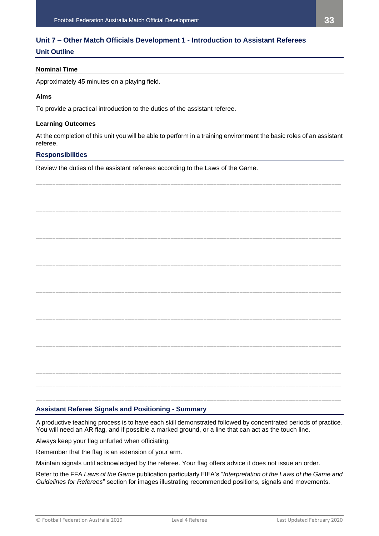## <span id="page-32-0"></span>**Unit 7 – Other Match Officials Development 1 - Introduction to Assistant Referees**

## **Unit Outline**

## **Nominal Time**

Approximately 45 minutes on a playing field.

## **Aims**

To provide a practical introduction to the duties of the assistant referee.

## **Learning Outcomes**

At the completion of this unit you will be able to perform in a training environment the basic roles of an assistant referee.

## **Responsibilities**

Review the duties of the assistant referees according to the Laws of the Game.

| <b>Assistant Referee Signals and Positioning - Summary</b> |
|------------------------------------------------------------|

## A productive teaching process is to have each skill demonstrated followed by concentrated periods of practice. You will need an AR flag, and if possible a marked ground, or a line that can act as the touch line.

Always keep your flag unfurled when officiating.

Remember that the flag is an extension of your arm.

Maintain signals until acknowledged by the referee. Your flag offers advice it does not issue an order.

Refer to the FFA *Laws of the Game* publication particularly FIFA's "*Interpretation of the Laws of the Game and Guidelines for Referees*" section for images illustrating recommended positions, signals and movements.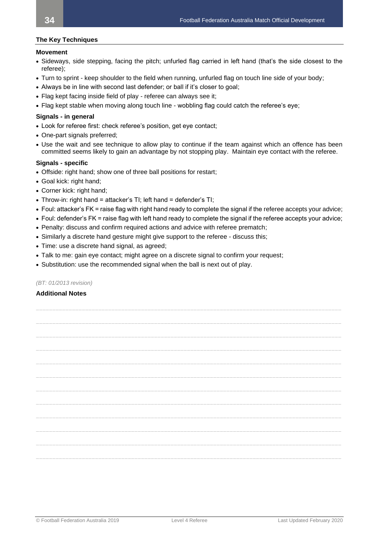## **The Key Techniques**

## **Movement**

- Sideways, side stepping, facing the pitch; unfurled flag carried in left hand (that's the side closest to the referee);
- Turn to sprint keep shoulder to the field when running, unfurled flag on touch line side of your body;
- Always be in line with second last defender; or ball if it's closer to goal;
- Flag kept facing inside field of play referee can always see it;
- Flag kept stable when moving along touch line wobbling flag could catch the referee's eye;

## **Signals - in general**

- Look for referee first: check referee's position, get eye contact;
- One-part signals preferred;
- Use the wait and see technique to allow play to continue if the team against which an offence has been committed seems likely to gain an advantage by not stopping play. Maintain eye contact with the referee.

## **Signals - specific**

- Offside: right hand; show one of three ball positions for restart;
- Goal kick: right hand;
- Corner kick: right hand;
- Throw-in: right hand = attacker's  $TI$ : left hand = defender's  $TI$ :
- Foul: attacker's FK = raise flag with right hand ready to complete the signal if the referee accepts your advice;
- Foul: defender's FK = raise flag with left hand ready to complete the signal if the referee accepts your advice;
- Penalty: discuss and confirm required actions and advice with referee prematch;
- Similarly a discrete hand gesture might give support to the referee discuss this;
- Time: use a discrete hand signal, as agreed;
- Talk to me: gain eye contact; might agree on a discrete signal to confirm your request;
- Substitution: use the recommended signal when the ball is next out of play.

## *(BT: 01/2013 revision)*

## **Additional Notes**

**\_\_\_\_\_\_\_\_\_\_\_\_\_\_\_\_\_\_\_\_\_\_\_\_\_\_\_\_\_\_\_\_\_\_\_\_\_\_\_\_\_\_\_\_\_\_\_\_\_\_\_\_\_\_\_\_\_\_\_\_\_\_\_\_\_\_\_\_\_\_\_\_\_\_\_\_\_\_\_\_\_\_\_\_\_\_\_\_\_\_\_\_\_ \_\_\_\_\_\_\_\_\_\_\_\_\_\_\_\_\_\_\_\_\_\_\_\_\_\_\_\_\_\_\_\_\_\_\_\_\_\_\_\_\_\_\_\_\_\_\_\_\_\_\_\_\_\_\_\_\_\_\_\_\_\_\_\_\_\_\_\_\_\_\_\_\_\_\_\_\_\_\_\_\_\_\_\_\_\_\_\_\_\_\_\_\_ \_\_\_\_\_\_\_\_\_\_\_\_\_\_\_\_\_\_\_\_\_\_\_\_\_\_\_\_\_\_\_\_\_\_\_\_\_\_\_\_\_\_\_\_\_\_\_\_\_\_\_\_\_\_\_\_\_\_\_\_\_\_\_\_\_\_\_\_\_\_\_\_\_\_\_\_\_\_\_\_\_\_\_\_\_\_\_\_\_\_\_\_\_ \_\_\_\_\_\_\_\_\_\_\_\_\_\_\_\_\_\_\_\_\_\_\_\_\_\_\_\_\_\_\_\_\_\_\_\_\_\_\_\_\_\_\_\_\_\_\_\_\_\_\_\_\_\_\_\_\_\_\_\_\_\_\_\_\_\_\_\_\_\_\_\_\_\_\_\_\_\_\_\_\_\_\_\_\_\_\_\_\_\_\_\_\_ \_\_\_\_\_\_\_\_\_\_\_\_\_\_\_\_\_\_\_\_\_\_\_\_\_\_\_\_\_\_\_\_\_\_\_\_\_\_\_\_\_\_\_\_\_\_\_\_\_\_\_\_\_\_\_\_\_\_\_\_\_\_\_\_\_\_\_\_\_\_\_\_\_\_\_\_\_\_\_\_\_\_\_\_\_\_\_\_\_\_\_\_\_ \_\_\_\_\_\_\_\_\_\_\_\_\_\_\_\_\_\_\_\_\_\_\_\_\_\_\_\_\_\_\_\_\_\_\_\_\_\_\_\_\_\_\_\_\_\_\_\_\_\_\_\_\_\_\_\_\_\_\_\_\_\_\_\_\_\_\_\_\_\_\_\_\_\_\_\_\_\_\_\_\_\_\_\_\_\_\_\_\_\_\_\_\_ \_\_\_\_\_\_\_\_\_\_\_\_\_\_\_\_\_\_\_\_\_\_\_\_\_\_\_\_\_\_\_\_\_\_\_\_\_\_\_\_\_\_\_\_\_\_\_\_\_\_\_\_\_\_\_\_\_\_\_\_\_\_\_\_\_\_\_\_\_\_\_\_\_\_\_\_\_\_\_\_\_\_\_\_\_\_\_\_\_\_\_\_\_ \_\_\_\_\_\_\_\_\_\_\_\_\_\_\_\_\_\_\_\_\_\_\_\_\_\_\_\_\_\_\_\_\_\_\_\_\_\_\_\_\_\_\_\_\_\_\_\_\_\_\_\_\_\_\_\_\_\_\_\_\_\_\_\_\_\_\_\_\_\_\_\_\_\_\_\_\_\_\_\_\_\_\_\_\_\_\_\_\_\_\_\_\_ \_\_\_\_\_\_\_\_\_\_\_\_\_\_\_\_\_\_\_\_\_\_\_\_\_\_\_\_\_\_\_\_\_\_\_\_\_\_\_\_\_\_\_\_\_\_\_\_\_\_\_\_\_\_\_\_\_\_\_\_\_\_\_\_\_\_\_\_\_\_\_\_\_\_\_\_\_\_\_\_\_\_\_\_\_\_\_\_\_\_\_\_\_ \_\_\_\_\_\_\_\_\_\_\_\_\_\_\_\_\_\_\_\_\_\_\_\_\_\_\_\_\_\_\_\_\_\_\_\_\_\_\_\_\_\_\_\_\_\_\_\_\_\_\_\_\_\_\_\_\_\_\_\_\_\_\_\_\_\_\_\_\_\_\_\_\_\_\_\_\_\_\_\_\_\_\_\_\_\_\_\_\_\_\_\_\_ \_\_\_\_\_\_\_\_\_\_\_\_\_\_\_\_\_\_\_\_\_\_\_\_\_\_\_\_\_\_\_\_\_\_\_\_\_\_\_\_\_\_\_\_\_\_\_\_\_\_\_\_\_\_\_\_\_\_\_\_\_\_\_\_\_\_\_\_\_\_\_\_\_\_\_\_\_\_\_\_\_\_\_\_\_\_\_\_\_\_\_\_\_ \_\_\_\_\_\_\_\_\_\_\_\_\_\_\_\_\_\_\_\_\_\_\_\_\_\_\_\_\_\_\_\_\_\_\_\_\_\_\_\_\_\_\_\_\_\_\_\_\_\_\_\_\_\_\_\_\_\_\_\_\_\_\_\_\_\_\_\_\_\_\_\_\_\_\_\_\_\_\_\_\_\_\_\_\_\_\_\_\_\_\_\_\_**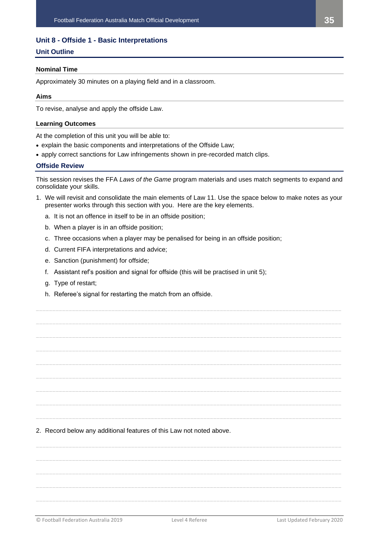## <span id="page-34-0"></span>**Unit 8 - Offside 1 - Basic Interpretations**

## **Unit Outline**

## **Nominal Time**

Approximately 30 minutes on a playing field and in a classroom.

## **Aims**

To revise, analyse and apply the offside Law.

#### **Learning Outcomes**

At the completion of this unit you will be able to:

- explain the basic components and interpretations of the Offside Law;
- apply correct sanctions for Law infringements shown in pre-recorded match clips.

#### **Offside Review**

This session revises the FFA *Laws of the Game* program materials and uses match segments to expand and consolidate your skills.

1. We will revisit and consolidate the main elements of Law 11. Use the space below to make notes as your presenter works through this section with you. Here are the key elements.

**\_\_\_\_\_\_\_\_\_\_\_\_\_\_\_\_\_\_\_\_\_\_\_\_\_\_\_\_\_\_\_\_\_\_\_\_\_\_\_\_\_\_\_\_\_\_\_\_\_\_\_\_\_\_\_\_\_\_\_\_\_\_\_\_\_\_\_\_\_\_\_\_\_\_\_\_\_\_\_\_\_\_\_\_\_\_\_\_\_\_\_\_\_**

**\_\_\_\_\_\_\_\_\_\_\_\_\_\_\_\_\_\_\_\_\_\_\_\_\_\_\_\_\_\_\_\_\_\_\_\_\_\_\_\_\_\_\_\_\_\_\_\_\_\_\_\_\_\_\_\_\_\_\_\_\_\_\_\_\_\_\_\_\_\_\_\_\_\_\_\_\_\_\_\_\_\_\_\_\_\_\_\_\_\_\_\_\_**

**\_\_\_\_\_\_\_\_\_\_\_\_\_\_\_\_\_\_\_\_\_\_\_\_\_\_\_\_\_\_\_\_\_\_\_\_\_\_\_\_\_\_\_\_\_\_\_\_\_\_\_\_\_\_\_\_\_\_\_\_\_\_\_\_\_\_\_\_\_\_\_\_\_\_\_\_\_\_\_\_\_\_\_\_\_\_\_\_\_\_\_\_\_**

**\_\_\_\_\_\_\_\_\_\_\_\_\_\_\_\_\_\_\_\_\_\_\_\_\_\_\_\_\_\_\_\_\_\_\_\_\_\_\_\_\_\_\_\_\_\_\_\_\_\_\_\_\_\_\_\_\_\_\_\_\_\_\_\_\_\_\_\_\_\_\_\_\_\_\_\_\_\_\_\_\_\_\_\_\_\_\_\_\_\_\_\_\_**

**\_\_\_\_\_\_\_\_\_\_\_\_\_\_\_\_\_\_\_\_\_\_\_\_\_\_\_\_\_\_\_\_\_\_\_\_\_\_\_\_\_\_\_\_\_\_\_\_\_\_\_\_\_\_\_\_\_\_\_\_\_\_\_\_\_\_\_\_\_\_\_\_\_\_\_\_\_\_\_\_\_\_\_\_\_\_\_\_\_\_\_\_\_**

**\_\_\_\_\_\_\_\_\_\_\_\_\_\_\_\_\_\_\_\_\_\_\_\_\_\_\_\_\_\_\_\_\_\_\_\_\_\_\_\_\_\_\_\_\_\_\_\_\_\_\_\_\_\_\_\_\_\_\_\_\_\_\_\_\_\_\_\_\_\_\_\_\_\_\_\_\_\_\_\_\_\_\_\_\_\_\_\_\_\_\_\_\_**

**\_\_\_\_\_\_\_\_\_\_\_\_\_\_\_\_\_\_\_\_\_\_\_\_\_\_\_\_\_\_\_\_\_\_\_\_\_\_\_\_\_\_\_\_\_\_\_\_\_\_\_\_\_\_\_\_\_\_\_\_\_\_\_\_\_\_\_\_\_\_\_\_\_\_\_\_\_\_\_\_\_\_\_\_\_\_\_\_\_\_\_\_\_**

**\_\_\_\_\_\_\_\_\_\_\_\_\_\_\_\_\_\_\_\_\_\_\_\_\_\_\_\_\_\_\_\_\_\_\_\_\_\_\_\_\_\_\_\_\_\_\_\_\_\_\_\_\_\_\_\_\_\_\_\_\_\_\_\_\_\_\_\_\_\_\_\_\_\_\_\_\_\_\_\_\_\_\_\_\_\_\_\_\_\_\_\_\_**

**\_\_\_\_\_\_\_\_\_\_\_\_\_\_\_\_\_\_\_\_\_\_\_\_\_\_\_\_\_\_\_\_\_\_\_\_\_\_\_\_\_\_\_\_\_\_\_\_\_\_\_\_\_\_\_\_\_\_\_\_\_\_\_\_\_\_\_\_\_\_\_\_\_\_\_\_\_\_\_\_\_\_\_\_\_\_\_\_\_\_\_\_\_**

- a. It is not an offence in itself to be in an offside position;
- b. When a player is in an offside position;
- c. Three occasions when a player may be penalised for being in an offside position;
- d. Current FIFA interpretations and advice;
- e. Sanction (punishment) for offside;
- f. Assistant ref's position and signal for offside (this will be practised in unit 5);
- g. Type of restart;
- h. Referee's signal for restarting the match from an offside.

2. Record below any additional features of this Law not noted above.

**\_\_\_\_\_\_\_\_\_\_\_\_\_\_\_\_\_\_\_\_\_\_\_\_\_\_\_\_\_\_\_\_\_\_\_\_\_\_\_\_\_\_\_\_\_\_\_\_\_\_\_\_\_\_\_\_\_\_\_\_\_\_\_\_\_\_\_\_\_\_\_\_\_\_\_\_\_\_\_\_\_\_\_\_\_\_\_\_\_\_\_\_\_ \_\_\_\_\_\_\_\_\_\_\_\_\_\_\_\_\_\_\_\_\_\_\_\_\_\_\_\_\_\_\_\_\_\_\_\_\_\_\_\_\_\_\_\_\_\_\_\_\_\_\_\_\_\_\_\_\_\_\_\_\_\_\_\_\_\_\_\_\_\_\_\_\_\_\_\_\_\_\_\_\_\_\_\_\_\_\_\_\_\_\_\_\_ \_\_\_\_\_\_\_\_\_\_\_\_\_\_\_\_\_\_\_\_\_\_\_\_\_\_\_\_\_\_\_\_\_\_\_\_\_\_\_\_\_\_\_\_\_\_\_\_\_\_\_\_\_\_\_\_\_\_\_\_\_\_\_\_\_\_\_\_\_\_\_\_\_\_\_\_\_\_\_\_\_\_\_\_\_\_\_\_\_\_\_\_\_ \_\_\_\_\_\_\_\_\_\_\_\_\_\_\_\_\_\_\_\_\_\_\_\_\_\_\_\_\_\_\_\_\_\_\_\_\_\_\_\_\_\_\_\_\_\_\_\_\_\_\_\_\_\_\_\_\_\_\_\_\_\_\_\_\_\_\_\_\_\_\_\_\_\_\_\_\_\_\_\_\_\_\_\_\_\_\_\_\_\_\_\_\_ \_\_\_\_\_\_\_\_\_\_\_\_\_\_\_\_\_\_\_\_\_\_\_\_\_\_\_\_\_\_\_\_\_\_\_\_\_\_\_\_\_\_\_\_\_\_\_\_\_\_\_\_\_\_\_\_\_\_\_\_\_\_\_\_\_\_\_\_\_\_\_\_\_\_\_\_\_\_\_\_\_\_\_\_\_\_\_\_\_\_\_\_\_**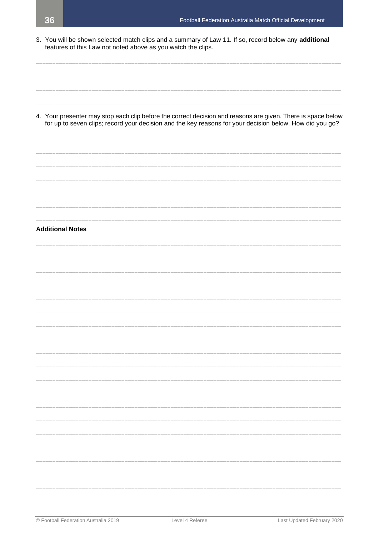3. You will be shown selected match clips and a summary of Law 11. If so, record below any additional features of this Law not noted above as you watch the clips.

4. Your presenter may stop each clip before the correct decision and reasons are given. There is space below for up to seven clips; record your decision and the key reasons for your decision below. How did you go?

## **Additional Notes**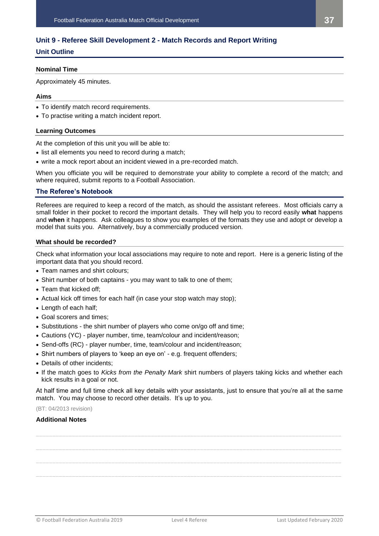## <span id="page-36-0"></span>**Unit 9 - Referee Skill Development 2 - Match Records and Report Writing**

## **Unit Outline**

## **Nominal Time**

Approximately 45 minutes.

## **Aims**

- To identify match record requirements.
- To practise writing a match incident report.

## **Learning Outcomes**

At the completion of this unit you will be able to:

- list all elements you need to record during a match;
- write a mock report about an incident viewed in a pre-recorded match.

When you officiate you will be required to demonstrate your ability to complete a record of the match; and where required, submit reports to a Football Association.

## **The Referee's Notebook**

Referees are required to keep a record of the match, as should the assistant referees. Most officials carry a small folder in their pocket to record the important details. They will help you to record easily **what** happens and **when** it happens. Ask colleagues to show you examples of the formats they use and adopt or develop a model that suits you. Alternatively, buy a commercially produced version.

## **What should be recorded?**

Check what information your local associations may require to note and report. Here is a generic listing of the important data that you should record.

- Team names and shirt colours;
- Shirt number of both captains you may want to talk to one of them;
- Team that kicked off;
- Actual kick off times for each half (in case your stop watch may stop);
- Length of each half;
- Goal scorers and times;
- Substitutions the shirt number of players who come on/go off and time;
- Cautions (YC) player number, time, team/colour and incident/reason;
- Send-offs (RC) player number, time, team/colour and incident/reason;
- Shirt numbers of players to 'keep an eye on' e.g. frequent offenders;
- Details of other incidents;
- If the match goes to *Kicks from the Penalty Mark* shirt numbers of players taking kicks and whether each kick results in a goal or not.

At half time and full time check all key details with your assistants, just to ensure that you're all at the same match. You may choose to record other details. It's up to you.

## (BT: 04/2013 revision)

## **Additional Notes**

**\_\_\_\_\_\_\_\_\_\_\_\_\_\_\_\_\_\_\_\_\_\_\_\_\_\_\_\_\_\_\_\_\_\_\_\_\_\_\_\_\_\_\_\_\_\_\_\_\_\_\_\_\_\_\_\_\_\_\_\_\_\_\_\_\_\_\_\_\_\_\_\_\_\_\_\_\_\_\_\_\_\_\_\_\_\_\_\_\_\_\_\_\_ \_\_\_\_\_\_\_\_\_\_\_\_\_\_\_\_\_\_\_\_\_\_\_\_\_\_\_\_\_\_\_\_\_\_\_\_\_\_\_\_\_\_\_\_\_\_\_\_\_\_\_\_\_\_\_\_\_\_\_\_\_\_\_\_\_\_\_\_\_\_\_\_\_\_\_\_\_\_\_\_\_\_\_\_\_\_\_\_\_\_\_\_\_ \_\_\_\_\_\_\_\_\_\_\_\_\_\_\_\_\_\_\_\_\_\_\_\_\_\_\_\_\_\_\_\_\_\_\_\_\_\_\_\_\_\_\_\_\_\_\_\_\_\_\_\_\_\_\_\_\_\_\_\_\_\_\_\_\_\_\_\_\_\_\_\_\_\_\_\_\_\_\_\_\_\_\_\_\_\_\_\_\_\_\_\_\_ \_\_\_\_\_\_\_\_\_\_\_\_\_\_\_\_\_\_\_\_\_\_\_\_\_\_\_\_\_\_\_\_\_\_\_\_\_\_\_\_\_\_\_\_\_\_\_\_\_\_\_\_\_\_\_\_\_\_\_\_\_\_\_\_\_\_\_\_\_\_\_\_\_\_\_\_\_\_\_\_\_\_\_\_\_\_\_\_\_\_\_\_\_**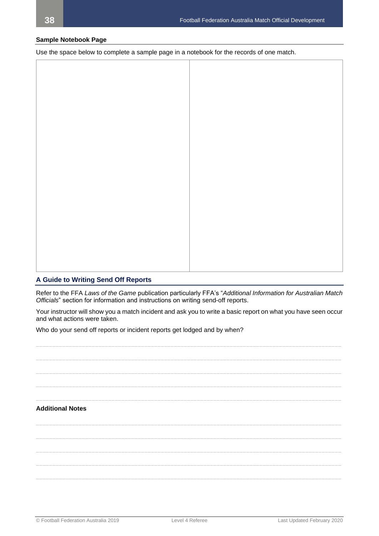## **Sample Notebook Page**

Use the space below to complete a sample page in a notebook for the records of one match.

## **A Guide to Writing Send Off Reports**

Refer to the FFA *Laws of the Game* publication particularly FFA's "*Additional Information for Australian Match Officials*" section for information and instructions on writing send-off reports.

Your instructor will show you a match incident and ask you to write a basic report on what you have seen occur and what actions were taken.

Who do your send off reports or incident reports get lodged and by when?

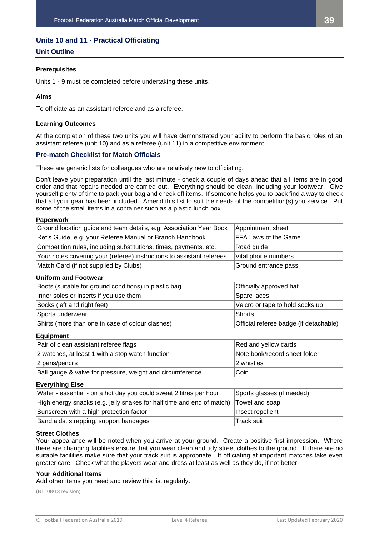## <span id="page-38-0"></span>**Units 10 and 11 - Practical Officiating**

## **Unit Outline**

## **Prerequisites**

Units 1 - 9 must be completed before undertaking these units.

## **Aims**

To officiate as an assistant referee and as a referee.

## **Learning Outcomes**

At the completion of these two units you will have demonstrated your ability to perform the basic roles of an assistant referee (unit 10) and as a referee (unit 11) in a competitive environment.

## **Pre-match Checklist for Match Officials**

These are generic lists for colleagues who are relatively new to officiating.

Don't leave your preparation until the last minute - check a couple of days ahead that all items are in good order and that repairs needed are carried out. Everything should be clean, including your footwear. Give yourself plenty of time to pack your bag and check off items. If someone helps you to pack find a way to check that all your gear has been included. Amend this list to suit the needs of the competition(s) you service. Put some of the small items in a container such as a plastic lunch box.

## **Paperwork**

| Ground location guide and team details, e.g. Association Year Book    | Appointment sheet           |
|-----------------------------------------------------------------------|-----------------------------|
| Ref's Guide, e.g. your Referee Manual or Branch Handbook              | <b>FFA Laws of the Game</b> |
| Competition rules, including substitutions, times, payments, etc.     | Road guide                  |
| Your notes covering your (referee) instructions to assistant referees | Vital phone numbers         |
| Match Card (if not supplied by Clubs)                                 | Ground entrance pass        |

#### **Uniform and Footwear**

| Boots (suitable for ground conditions) in plastic bag | Officially approved hat                |
|-------------------------------------------------------|----------------------------------------|
| Inner soles or inserts if you use them                | Spare laces                            |
| Socks (left and right feet)                           | Velcro or tape to hold socks up        |
| Sports underwear                                      | Shorts                                 |
| Shirts (more than one in case of colour clashes)      | Official referee badge (if detachable) |

#### **Equipment**

| Pair of clean assistant referee flags                     | Red and yellow cards          |
|-----------------------------------------------------------|-------------------------------|
| 2 watches, at least 1 with a stop watch function          | Note book/record sheet folder |
| 2 pens/pencils                                            | 2 whistles                    |
| Ball gauge & valve for pressure, weight and circumference | ∣Coin                         |

#### **Everything Else**

| Water - essential - on a hot day you could sweat 2 litres per hour    | Sports glasses (if needed) |
|-----------------------------------------------------------------------|----------------------------|
| High energy snacks (e.g. jelly snakes for half time and end of match) | Towel and soap             |
| Sunscreen with a high protection factor                               | Insect repellent           |
| Band aids, strapping, support bandages                                | lTrack suit.               |

#### **Street Clothes**

Your appearance will be noted when you arrive at your ground. Create a positive first impression. Where there are changing facilities ensure that you wear clean and tidy street clothes to the ground. If there are no suitable facilities make sure that your track suit is appropriate. If officiating at important matches take even greater care. Check what the players wear and dress at least as well as they do, if not better.

## **Your Additional Items**

Add other items you need and review this list regularly.

(BT: 08/13 revision)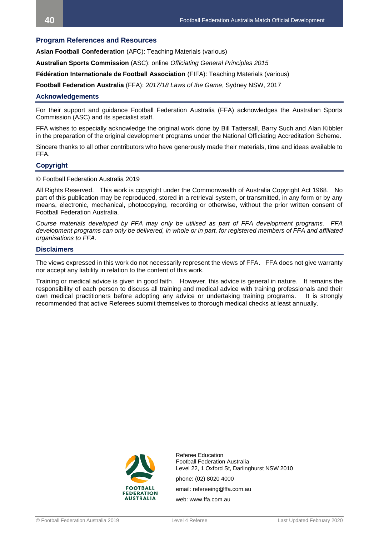## <span id="page-39-0"></span>**Program References and Resources**

**Asian Football Confederation** (AFC): Teaching Materials (various)

**Australian Sports Commission** (ASC): online *Officiating General Principles 2015*

**Fédération Internationale de Football Association** (FIFA): Teaching Materials (various)

**Football Federation Australia** (FFA): *2017/18 Laws of the Game*, Sydney NSW, 2017

#### **Acknowledgements**

For their support and guidance Football Federation Australia (FFA) acknowledges the Australian Sports Commission (ASC) and its specialist staff.

FFA wishes to especially acknowledge the original work done by Bill Tattersall, Barry Such and Alan Kibbler in the preparation of the original development programs under the National Officiating Accreditation Scheme.

Sincere thanks to all other contributors who have generously made their materials, time and ideas available to FFA.

## **Copyright**

© Football Federation Australia 2019

All Rights Reserved. This work is copyright under the Commonwealth of Australia Copyright Act 1968. No part of this publication may be reproduced, stored in a retrieval system, or transmitted, in any form or by any means, electronic, mechanical, photocopying, recording or otherwise, without the prior written consent of Football Federation Australia.

*Course materials developed by FFA may only be utilised as part of FFA development programs. FFA* development programs can only be delivered, in whole or in part, for registered members of FFA and affiliated *organisations to FFA.*

## **Disclaimers**

The views expressed in this work do not necessarily represent the views of FFA. FFA does not give warranty nor accept any liability in relation to the content of this work.

Training or medical advice is given in good faith. However, this advice is general in nature. It remains the responsibility of each person to discuss all training and medical advice with training professionals and their own medical practitioners before adopting any advice or undertaking training programs. It is strongly recommended that active Referees submit themselves to thorough medical checks at least annually.



Referee Education Football Federation Australia Level 22, 1 Oxford St, Darlinghurst NSW 2010

phone: (02) 8020 4000

email: refereeing@ffa.com.au

web: www.ffa.com.au